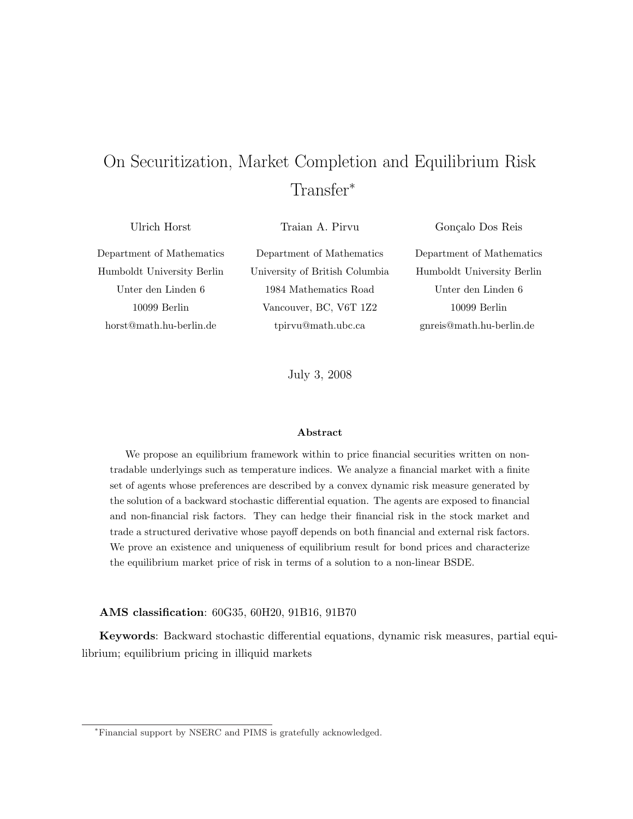# On Securitization, Market Completion and Equilibrium Risk Transfer<sup>\*</sup>

Ulrich Horst

Traian A. Pirvu

Gonçalo Dos Reis

Department of Mathematics Humboldt University Berlin Unter den Linden 6 10099 Berlin horst@math.hu-berlin.de

Department of Mathematics University of British Columbia 1984 Mathematics Road Vancouver, BC, V6T 1Z2 tpirvu@math.ubc.ca

Department of Mathematics Humboldt University Berlin Unter den Linden 6 10099 Berlin gnreis@math.hu-berlin.de

July 3, 2008

#### Abstract

We propose an equilibrium framework within to price financial securities written on nontradable underlyings such as temperature indices. We analyze a financial market with a finite set of agents whose preferences are described by a convex dynamic risk measure generated by the solution of a backward stochastic differential equation. The agents are exposed to financial and non-financial risk factors. They can hedge their financial risk in the stock market and trade a structured derivative whose payoff depends on both financial and external risk factors. We prove an existence and uniqueness of equilibrium result for bond prices and characterize the equilibrium market price of risk in terms of a solution to a non-linear BSDE.

## AMS classification: 60G35, 60H20, 91B16, 91B70

Keywords: Backward stochastic differential equations, dynamic risk measures, partial equilibrium; equilibrium pricing in illiquid markets

<sup>∗</sup>Financial support by NSERC and PIMS is gratefully acknowledged.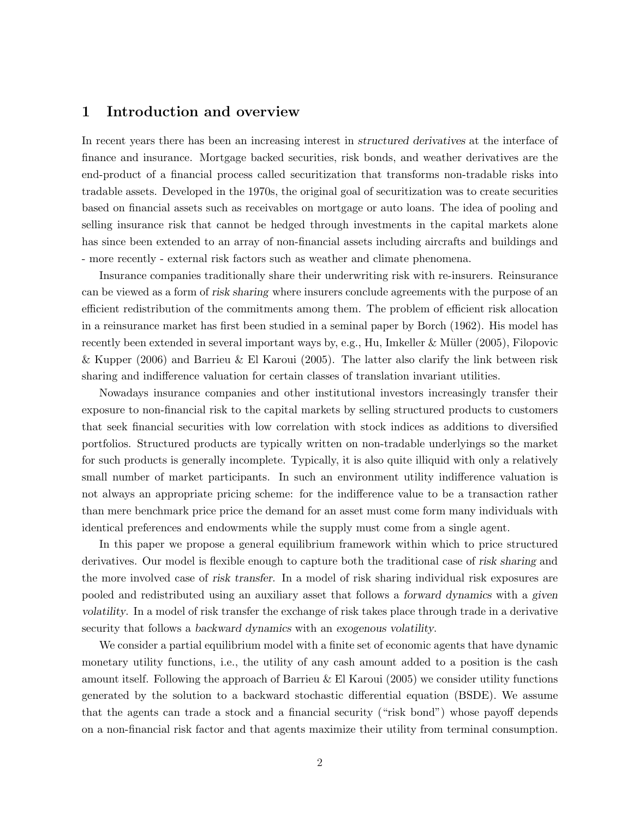# 1 Introduction and overview

In recent years there has been an increasing interest in structured derivatives at the interface of finance and insurance. Mortgage backed securities, risk bonds, and weather derivatives are the end-product of a financial process called securitization that transforms non-tradable risks into tradable assets. Developed in the 1970s, the original goal of securitization was to create securities based on financial assets such as receivables on mortgage or auto loans. The idea of pooling and selling insurance risk that cannot be hedged through investments in the capital markets alone has since been extended to an array of non-financial assets including aircrafts and buildings and - more recently - external risk factors such as weather and climate phenomena.

Insurance companies traditionally share their underwriting risk with re-insurers. Reinsurance can be viewed as a form of risk sharing where insurers conclude agreements with the purpose of an efficient redistribution of the commitments among them. The problem of efficient risk allocation in a reinsurance market has first been studied in a seminal paper by Borch (1962). His model has recently been extended in several important ways by, e.g., Hu, Imkeller & Müller (2005), Filopovic & Kupper (2006) and Barrieu & El Karoui (2005). The latter also clarify the link between risk sharing and indifference valuation for certain classes of translation invariant utilities.

Nowadays insurance companies and other institutional investors increasingly transfer their exposure to non-financial risk to the capital markets by selling structured products to customers that seek financial securities with low correlation with stock indices as additions to diversified portfolios. Structured products are typically written on non-tradable underlyings so the market for such products is generally incomplete. Typically, it is also quite illiquid with only a relatively small number of market participants. In such an environment utility indifference valuation is not always an appropriate pricing scheme: for the indifference value to be a transaction rather than mere benchmark price price the demand for an asset must come form many individuals with identical preferences and endowments while the supply must come from a single agent.

In this paper we propose a general equilibrium framework within which to price structured derivatives. Our model is flexible enough to capture both the traditional case of risk sharing and the more involved case of risk transfer. In a model of risk sharing individual risk exposures are pooled and redistributed using an auxiliary asset that follows a forward dynamics with a given volatility. In a model of risk transfer the exchange of risk takes place through trade in a derivative security that follows a backward dynamics with an exogenous volatility.

We consider a partial equilibrium model with a finite set of economic agents that have dynamic monetary utility functions, i.e., the utility of any cash amount added to a position is the cash amount itself. Following the approach of Barrieu & El Karoui (2005) we consider utility functions generated by the solution to a backward stochastic differential equation (BSDE). We assume that the agents can trade a stock and a financial security ("risk bond") whose payoff depends on a non-financial risk factor and that agents maximize their utility from terminal consumption.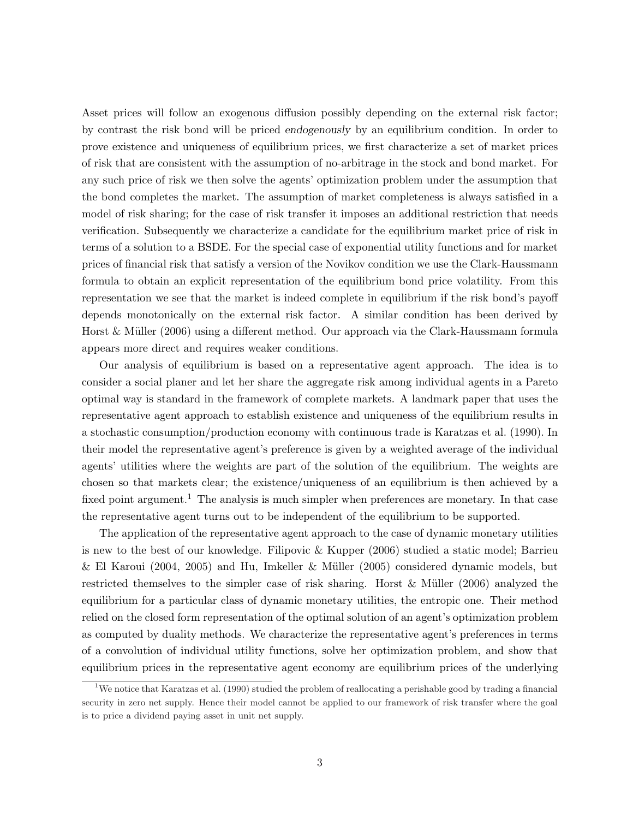Asset prices will follow an exogenous diffusion possibly depending on the external risk factor; by contrast the risk bond will be priced endogenously by an equilibrium condition. In order to prove existence and uniqueness of equilibrium prices, we first characterize a set of market prices of risk that are consistent with the assumption of no-arbitrage in the stock and bond market. For any such price of risk we then solve the agents' optimization problem under the assumption that the bond completes the market. The assumption of market completeness is always satisfied in a model of risk sharing; for the case of risk transfer it imposes an additional restriction that needs verification. Subsequently we characterize a candidate for the equilibrium market price of risk in terms of a solution to a BSDE. For the special case of exponential utility functions and for market prices of financial risk that satisfy a version of the Novikov condition we use the Clark-Haussmann formula to obtain an explicit representation of the equilibrium bond price volatility. From this representation we see that the market is indeed complete in equilibrium if the risk bond's payoff depends monotonically on the external risk factor. A similar condition has been derived by Horst & Müller (2006) using a different method. Our approach via the Clark-Haussmann formula appears more direct and requires weaker conditions.

Our analysis of equilibrium is based on a representative agent approach. The idea is to consider a social planer and let her share the aggregate risk among individual agents in a Pareto optimal way is standard in the framework of complete markets. A landmark paper that uses the representative agent approach to establish existence and uniqueness of the equilibrium results in a stochastic consumption/production economy with continuous trade is Karatzas et al. (1990). In their model the representative agent's preference is given by a weighted average of the individual agents' utilities where the weights are part of the solution of the equilibrium. The weights are chosen so that markets clear; the existence/uniqueness of an equilibrium is then achieved by a fixed point argument.<sup>1</sup> The analysis is much simpler when preferences are monetary. In that case the representative agent turns out to be independent of the equilibrium to be supported.

The application of the representative agent approach to the case of dynamic monetary utilities is new to the best of our knowledge. Filipovic & Kupper (2006) studied a static model; Barrieu  $\&$  El Karoui (2004, 2005) and Hu, Imkeller  $\&$  Müller (2005) considered dynamic models, but restricted themselves to the simpler case of risk sharing. Horst & Müller (2006) analyzed the equilibrium for a particular class of dynamic monetary utilities, the entropic one. Their method relied on the closed form representation of the optimal solution of an agent's optimization problem as computed by duality methods. We characterize the representative agent's preferences in terms of a convolution of individual utility functions, solve her optimization problem, and show that equilibrium prices in the representative agent economy are equilibrium prices of the underlying

<sup>&</sup>lt;sup>1</sup>We notice that Karatzas et al. (1990) studied the problem of reallocating a perishable good by trading a financial security in zero net supply. Hence their model cannot be applied to our framework of risk transfer where the goal is to price a dividend paying asset in unit net supply.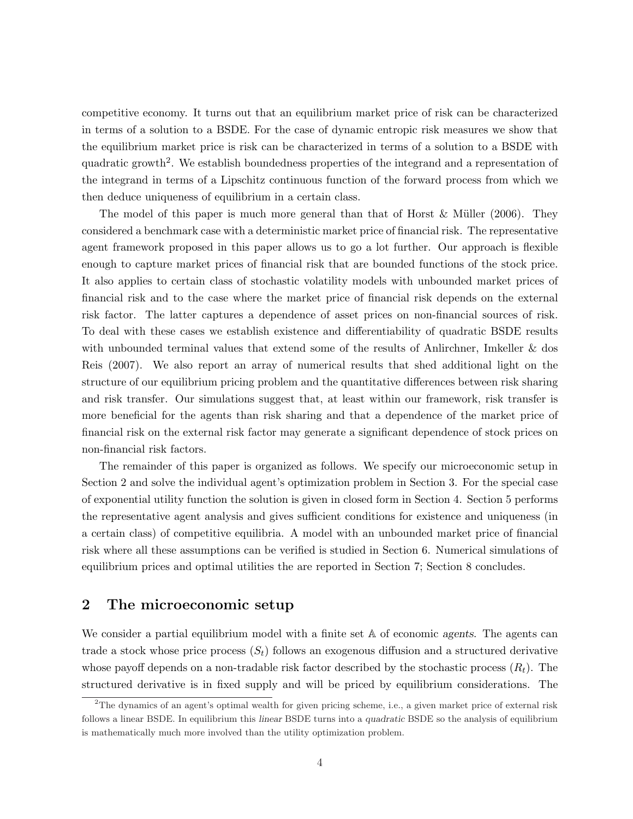competitive economy. It turns out that an equilibrium market price of risk can be characterized in terms of a solution to a BSDE. For the case of dynamic entropic risk measures we show that the equilibrium market price is risk can be characterized in terms of a solution to a BSDE with quadratic growth<sup>2</sup>. We establish boundedness properties of the integrand and a representation of the integrand in terms of a Lipschitz continuous function of the forward process from which we then deduce uniqueness of equilibrium in a certain class.

The model of this paper is much more general than that of Horst  $\&$  Müller (2006). They considered a benchmark case with a deterministic market price of financial risk. The representative agent framework proposed in this paper allows us to go a lot further. Our approach is flexible enough to capture market prices of financial risk that are bounded functions of the stock price. It also applies to certain class of stochastic volatility models with unbounded market prices of financial risk and to the case where the market price of financial risk depends on the external risk factor. The latter captures a dependence of asset prices on non-financial sources of risk. To deal with these cases we establish existence and differentiability of quadratic BSDE results with unbounded terminal values that extend some of the results of Anlirchner, Imkeller & dos Reis (2007). We also report an array of numerical results that shed additional light on the structure of our equilibrium pricing problem and the quantitative differences between risk sharing and risk transfer. Our simulations suggest that, at least within our framework, risk transfer is more beneficial for the agents than risk sharing and that a dependence of the market price of financial risk on the external risk factor may generate a significant dependence of stock prices on non-financial risk factors.

The remainder of this paper is organized as follows. We specify our microeconomic setup in Section 2 and solve the individual agent's optimization problem in Section 3. For the special case of exponential utility function the solution is given in closed form in Section 4. Section 5 performs the representative agent analysis and gives sufficient conditions for existence and uniqueness (in a certain class) of competitive equilibria. A model with an unbounded market price of financial risk where all these assumptions can be verified is studied in Section 6. Numerical simulations of equilibrium prices and optimal utilities the are reported in Section 7; Section 8 concludes.

# 2 The microeconomic setup

We consider a partial equilibrium model with a finite set  $A$  of economic agents. The agents can trade a stock whose price process  $(S_t)$  follows an exogenous diffusion and a structured derivative whose payoff depends on a non-tradable risk factor described by the stochastic process  $(R_t)$ . The structured derivative is in fixed supply and will be priced by equilibrium considerations. The

 $2$ The dynamics of an agent's optimal wealth for given pricing scheme, i.e., a given market price of external risk follows a linear BSDE. In equilibrium this linear BSDE turns into a quadratic BSDE so the analysis of equilibrium is mathematically much more involved than the utility optimization problem.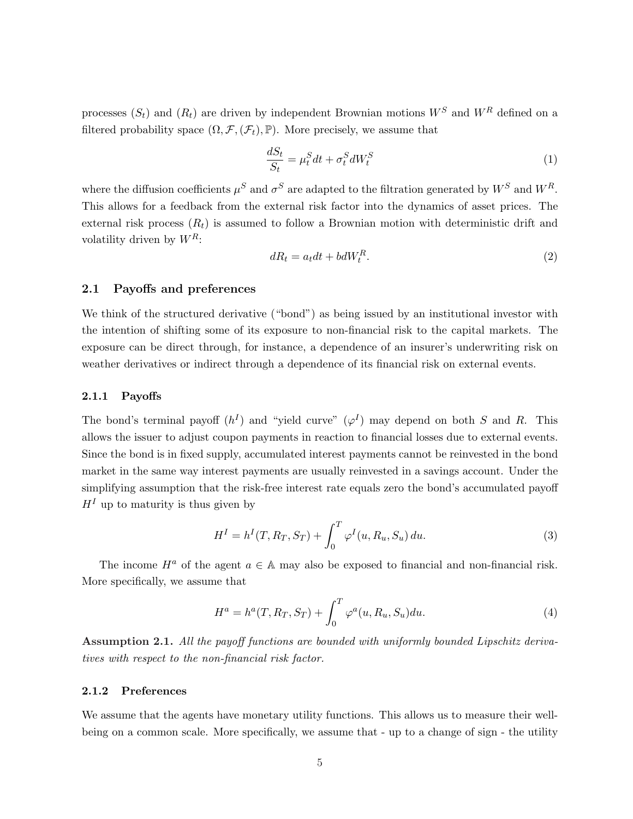processes  $(S_t)$  and  $(R_t)$  are driven by independent Brownian motions  $W^S$  and  $W^R$  defined on a filtered probability space  $(\Omega, \mathcal{F}, (\mathcal{F}_t), \mathbb{P})$ . More precisely, we assume that

$$
\frac{dS_t}{S_t} = \mu_t^S dt + \sigma_t^S dW_t^S \tag{1}
$$

where the diffusion coefficients  $\mu^S$  and  $\sigma^S$  are adapted to the filtration generated by  $W^S$  and  $W^R$ . This allows for a feedback from the external risk factor into the dynamics of asset prices. The external risk process  $(R_t)$  is assumed to follow a Brownian motion with deterministic drift and volatility driven by  $W^R$ :

$$
dR_t = a_t dt + bdW_t^R. \tag{2}
$$

#### 2.1 Payoffs and preferences

We think of the structured derivative ("bond") as being issued by an institutional investor with the intention of shifting some of its exposure to non-financial risk to the capital markets. The exposure can be direct through, for instance, a dependence of an insurer's underwriting risk on weather derivatives or indirect through a dependence of its financial risk on external events.

## 2.1.1 Payoffs

The bond's terminal payoff  $(h^I)$  and "yield curve"  $(\varphi^I)$  may depend on both S and R. This allows the issuer to adjust coupon payments in reaction to financial losses due to external events. Since the bond is in fixed supply, accumulated interest payments cannot be reinvested in the bond market in the same way interest payments are usually reinvested in a savings account. Under the simplifying assumption that the risk-free interest rate equals zero the bond's accumulated payoff  $H<sup>I</sup>$  up to maturity is thus given by

$$
H^{I} = h^{I}(T, R_{T}, S_{T}) + \int_{0}^{T} \varphi^{I}(u, R_{u}, S_{u}) du.
$$
 (3)

The income  $H^a$  of the agent  $a \in A$  may also be exposed to financial and non-financial risk. More specifically, we assume that

$$
H^{a} = h^{a}(T, R_{T}, S_{T}) + \int_{0}^{T} \varphi^{a}(u, R_{u}, S_{u}) du.
$$
\n(4)

Assumption 2.1. All the payoff functions are bounded with uniformly bounded Lipschitz derivatives with respect to the non-financial risk factor.

#### 2.1.2 Preferences

We assume that the agents have monetary utility functions. This allows us to measure their wellbeing on a common scale. More specifically, we assume that - up to a change of sign - the utility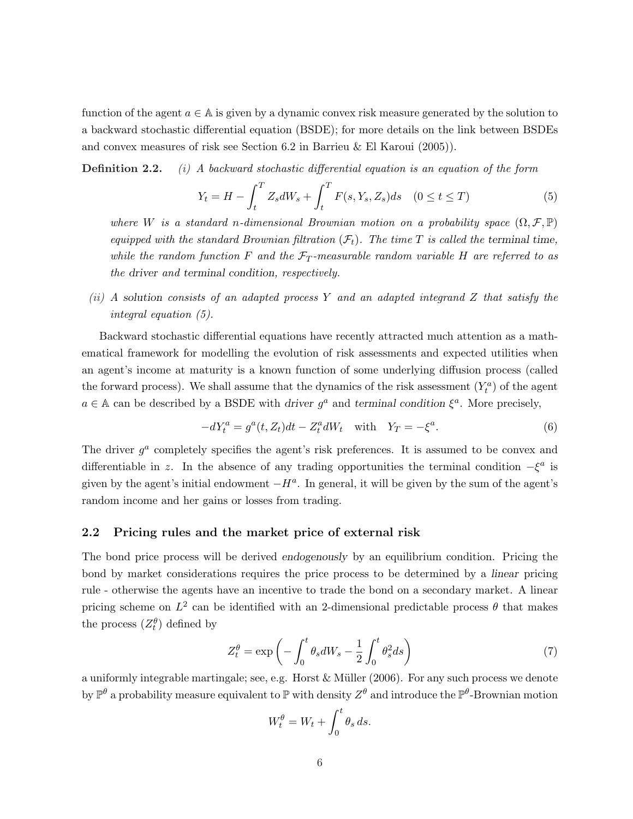function of the agent  $a \in A$  is given by a dynamic convex risk measure generated by the solution to a backward stochastic differential equation (BSDE); for more details on the link between BSDEs and convex measures of risk see Section 6.2 in Barrieu & El Karoui (2005)).

**Definition 2.2.** (i) A backward stochastic differential equation is an equation of the form

$$
Y_t = H - \int_t^T Z_s dW_s + \int_t^T F(s, Y_s, Z_s) ds \quad (0 \le t \le T)
$$
 (5)

where W is a standard n-dimensional Brownian motion on a probability space  $(\Omega, \mathcal{F}, \mathbb{P})$ equipped with the standard Brownian filtration  $(\mathcal{F}_t)$ . The time T is called the terminal time, while the random function F and the  $\mathcal{F}_T$ -measurable random variable H are referred to as the driver and terminal condition, respectively.

(ii) A solution consists of an adapted process Y and an adapted integrand Z that satisfy the integral equation (5).

Backward stochastic differential equations have recently attracted much attention as a mathematical framework for modelling the evolution of risk assessments and expected utilities when an agent's income at maturity is a known function of some underlying diffusion process (called the forward process). We shall assume that the dynamics of the risk assessment  $(Y_t^a)$  of the agent  $a \in A$  can be described by a BSDE with driver  $g^a$  and terminal condition  $\xi^a$ . More precisely,

$$
-dY_t^a = g^a(t, Z_t)dt - Z_t^a dW_t \quad \text{with} \quad Y_T = -\xi^a. \tag{6}
$$

The driver  $g^a$  completely specifies the agent's risk preferences. It is assumed to be convex and differentiable in z. In the absence of any trading opportunities the terminal condition  $-\xi^a$  is given by the agent's initial endowment  $-H^a$ . In general, it will be given by the sum of the agent's random income and her gains or losses from trading.

## 2.2 Pricing rules and the market price of external risk

The bond price process will be derived endogenously by an equilibrium condition. Pricing the bond by market considerations requires the price process to be determined by a linear pricing rule - otherwise the agents have an incentive to trade the bond on a secondary market. A linear pricing scheme on  $L^2$  can be identified with an 2-dimensional predictable process  $\theta$  that makes the process  $(Z_t^{\theta})$  defined by

$$
Z_t^{\theta} = \exp\left(-\int_0^t \theta_s dW_s - \frac{1}{2} \int_0^t \theta_s^2 ds\right)
$$
 (7)

a uniformly integrable martingale; see, e.g. Horst  $&$  Müller (2006). For any such process we denote by  $\mathbb{P}^{\theta}$  a probability measure equivalent to  $\mathbb{P}$  with density  $Z^{\theta}$  and introduce the  $\mathbb{P}^{\theta}$ -Brownian motion

$$
W_t^{\theta} = W_t + \int_0^t \theta_s \, ds.
$$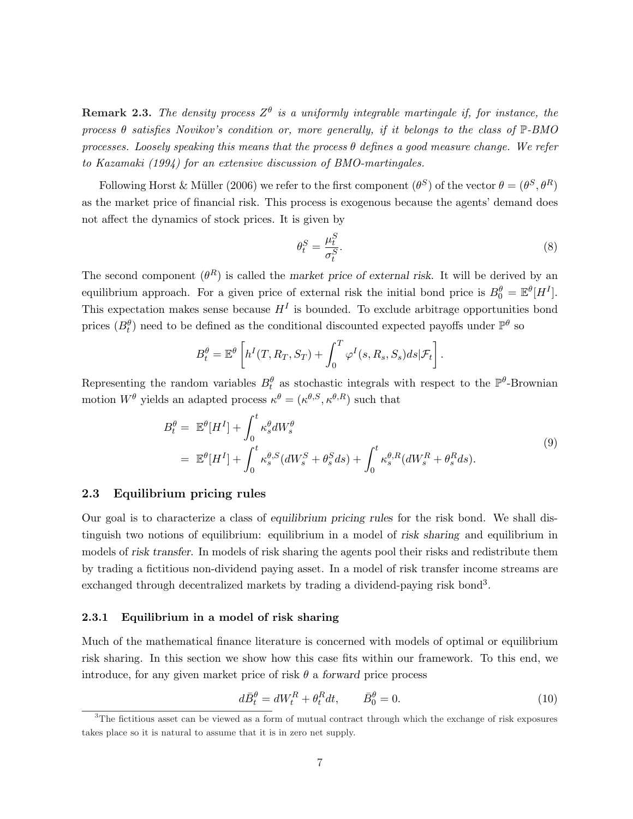**Remark 2.3.** The density process  $Z^{\theta}$  is a uniformly integrable martingale if, for instance, the process  $\theta$  satisfies Novikov's condition or, more generally, if it belongs to the class of  $\mathbb{P}\text{-}BMO$ processes. Loosely speaking this means that the process  $\theta$  defines a good measure change. We refer to Kazamaki (1994) for an extensive discussion of BMO-martingales.

Following Horst & Müller (2006) we refer to the first component  $(\theta^S)$  of the vector  $\theta = (\theta^S, \theta^R)$ as the market price of financial risk. This process is exogenous because the agents' demand does not affect the dynamics of stock prices. It is given by

$$
\theta_t^S = \frac{\mu_t^S}{\sigma_t^S}.\tag{8}
$$

The second component  $(\theta^R)$  is called the market price of external risk. It will be derived by an equilibrium approach. For a given price of external risk the initial bond price is  $B_0^{\theta} = \mathbb{E}^{\theta}[H^I].$ This expectation makes sense because  $H<sup>I</sup>$  is bounded. To exclude arbitrage opportunities bond prices  $(B_t^{\theta})$  need to be defined as the conditional discounted expected payoffs under  $\mathbb{P}^{\theta}$  so

$$
B_t^{\theta} = \mathbb{E}^{\theta} \left[ h^I(T, R_T, S_T) + \int_0^T \varphi^I(s, R_s, S_s) ds | \mathcal{F}_t \right].
$$

Representing the random variables  $B_t^{\theta}$  as stochastic integrals with respect to the  $\mathbb{P}^{\theta}$ -Brownian motion  $W^{\theta}$  yields an adapted process  $\kappa^{\theta} = (\kappa^{\theta,S}, \kappa^{\theta,R})$  such that

$$
B_t^{\theta} = \mathbb{E}^{\theta}[H^I] + \int_0^t \kappa_s^{\theta} dW_s^{\theta}
$$
  
= 
$$
\mathbb{E}^{\theta}[H^I] + \int_0^t \kappa_s^{\theta,S}(dW_s^S + \theta_s^S ds) + \int_0^t \kappa_s^{\theta,R}(dW_s^R + \theta_s^R ds).
$$
 (9)

## 2.3 Equilibrium pricing rules

Our goal is to characterize a class of equilibrium pricing rules for the risk bond. We shall distinguish two notions of equilibrium: equilibrium in a model of risk sharing and equilibrium in models of risk transfer. In models of risk sharing the agents pool their risks and redistribute them by trading a fictitious non-dividend paying asset. In a model of risk transfer income streams are exchanged through decentralized markets by trading a dividend-paying risk bond<sup>3</sup>.

#### 2.3.1 Equilibrium in a model of risk sharing

Much of the mathematical finance literature is concerned with models of optimal or equilibrium risk sharing. In this section we show how this case fits within our framework. To this end, we introduce, for any given market price of risk  $\theta$  a forward price process

$$
d\bar{B}_t^{\theta} = dW_t^R + \theta_t^R dt, \qquad \bar{B}_0^{\theta} = 0.
$$
\n(10)

<sup>&</sup>lt;sup>3</sup>The fictitious asset can be viewed as a form of mutual contract through which the exchange of risk exposures takes place so it is natural to assume that it is in zero net supply.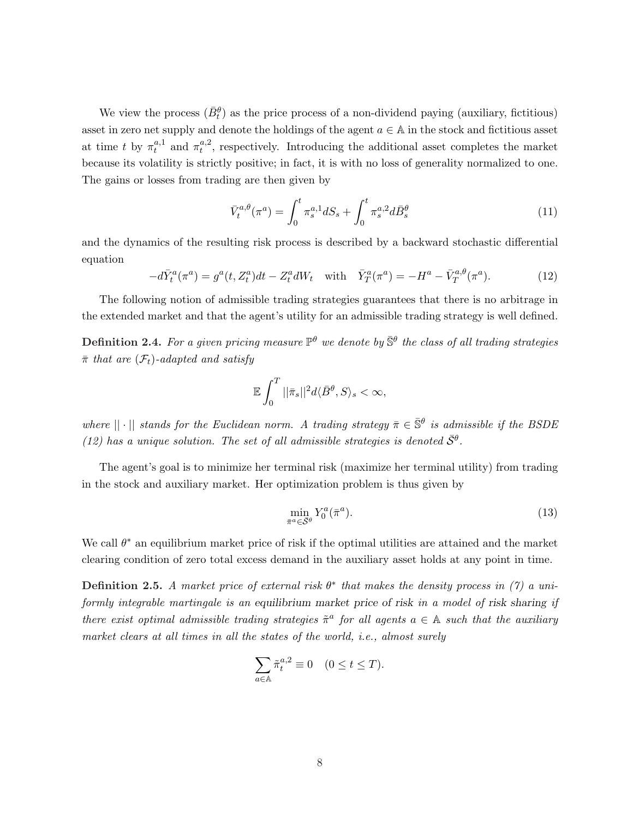We view the process  $(\bar{B}_t^{\theta})$  as the price process of a non-dividend paying (auxiliary, fictitious) asset in zero net supply and denote the holdings of the agent  $a \in A$  in the stock and fictitious asset at time t by  $\pi_t^{a,1}$  $t^{a,1}_t$  and  $\pi_t^{a,2}$  $t^{a,2}$ , respectively. Introducing the additional asset completes the market because its volatility is strictly positive; in fact, it is with no loss of generality normalized to one. The gains or losses from trading are then given by

$$
\bar{V}_t^{a,\theta}(\pi^a) = \int_0^t \pi_s^{a,1} dS_s + \int_0^t \pi_s^{a,2} d\bar{B}_s^{\theta}
$$
\n(11)

and the dynamics of the resulting risk process is described by a backward stochastic differential equation

$$
-d\bar{Y}^a_t(\pi^a) = g^a(t, Z^a_t)dt - Z^a_t dW_t \quad \text{with} \quad \bar{Y}^a_T(\pi^a) = -H^a - \bar{V}^{a, \theta}_T(\pi^a). \tag{12}
$$

The following notion of admissible trading strategies guarantees that there is no arbitrage in the extended market and that the agent's utility for an admissible trading strategy is well defined.

**Definition 2.4.** For a given pricing measure  $\mathbb{P}^{\theta}$  we denote by  $\bar{\mathbb{S}}^{\theta}$  the class of all trading strategies  $\bar{\pi}$  that are  $(\mathcal{F}_t)$ -adapted and satisfy

$$
\mathbb{E}\int_0^T||\bar{\pi}_s||^2d\langle \bar{B}^{\theta},S\rangle_s<\infty,
$$

where  $|| \cdot ||$  stands for the Euclidean norm. A trading strategy  $\bar{\pi} \in \bar{\mathbb{S}}^{\theta}$  is admissible if the BSDE (12) has a unique solution. The set of all admissible strategies is denoted  $\bar{S}^{\theta}$ .

The agent's goal is to minimize her terminal risk (maximize her terminal utility) from trading in the stock and auxiliary market. Her optimization problem is thus given by

$$
\min_{\bar{\pi}^a \in \bar{\mathcal{S}}^{\theta}} Y_0^a(\bar{\pi}^a). \tag{13}
$$

We call  $\theta^*$  an equilibrium market price of risk if the optimal utilities are attained and the market clearing condition of zero total excess demand in the auxiliary asset holds at any point in time.

**Definition 2.5.** A market price of external risk  $\theta^*$  that makes the density process in (7) a uniformly integrable martingale is an equilibrium market price of risk in a model of risk sharing if there exist optimal admissible trading strategies  $\tilde{\pi}^a$  for all agents  $a \in A$  such that the auxiliary market clears at all times in all the states of the world, i.e., almost surely

$$
\sum_{a \in \mathbb{A}} \tilde{\pi}_t^{a,2} \equiv 0 \quad (0 \le t \le T).
$$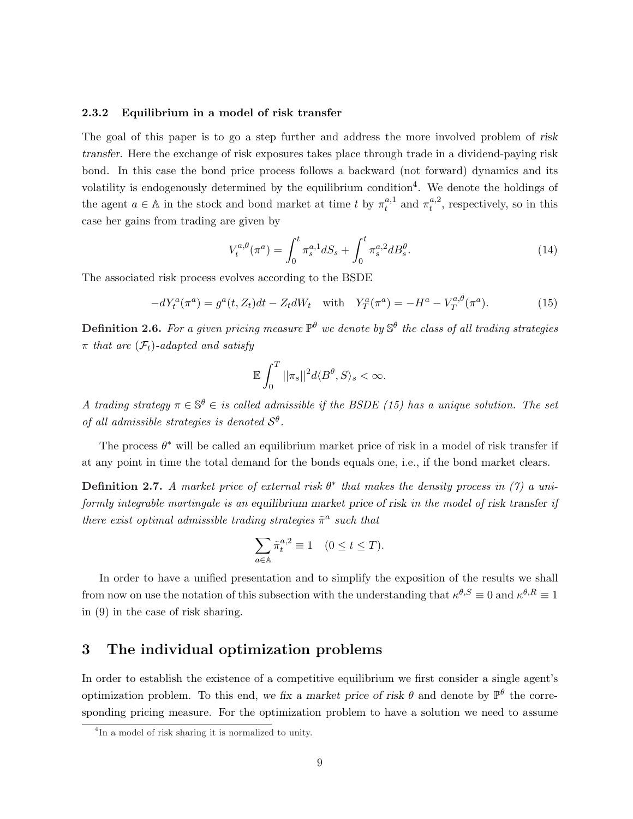#### 2.3.2 Equilibrium in a model of risk transfer

The goal of this paper is to go a step further and address the more involved problem of risk transfer. Here the exchange of risk exposures takes place through trade in a dividend-paying risk bond. In this case the bond price process follows a backward (not forward) dynamics and its volatility is endogenously determined by the equilibrium condition<sup>4</sup>. We denote the holdings of the agent  $a \in A$  in the stock and bond market at time t by  $\pi_t^{a,1}$  $_{t}^{a,1}$  and  $\pi_{t}^{a,2}$  $t^{a,2}_t$ , respectively, so in this case her gains from trading are given by

$$
V_t^{a,\theta}(\pi^a) = \int_0^t \pi_s^{a,1} dS_s + \int_0^t \pi_s^{a,2} dB_s^{\theta}.
$$
 (14)

The associated risk process evolves according to the BSDE

$$
-dY_t^a(\pi^a) = g^a(t, Z_t)dt - Z_t dW_t \quad \text{with} \quad Y_T^a(\pi^a) = -H^a - V_T^{a, \theta}(\pi^a). \tag{15}
$$

**Definition 2.6.** For a given pricing measure  $\mathbb{P}^{\theta}$  we denote by  $\mathbb{S}^{\theta}$  the class of all trading strategies  $\pi$  that are  $(\mathcal{F}_t)$ -adapted and satisfy

$$
\mathbb{E}\int_0^T||\pi_s||^2d\langle B^\theta,S\rangle_s<\infty.
$$

A trading strategy  $\pi \in \mathbb{S}^{\theta} \in$  is called admissible if the BSDE (15) has a unique solution. The set of all admissible strategies is denoted  $S^{\theta}$ .

The process  $\theta^*$  will be called an equilibrium market price of risk in a model of risk transfer if at any point in time the total demand for the bonds equals one, i.e., if the bond market clears.

**Definition 2.7.** A market price of external risk  $\theta^*$  that makes the density process in (7) a uniformly integrable martingale is an equilibrium market price of risk in the model of risk transfer if there exist optimal admissible trading strategies  $\tilde{\pi}^a$  such that

$$
\sum_{a \in \mathbb{A}} \tilde{\pi}_t^{a,2} \equiv 1 \quad (0 \le t \le T).
$$

In order to have a unified presentation and to simplify the exposition of the results we shall from now on use the notation of this subsection with the understanding that  $\kappa^{\theta,S} \equiv 0$  and  $\kappa^{\theta,R} \equiv 1$ in (9) in the case of risk sharing.

# 3 The individual optimization problems

In order to establish the existence of a competitive equilibrium we first consider a single agent's optimization problem. To this end, we fix a market price of risk  $\theta$  and denote by  $\mathbb{P}^{\theta}$  the corresponding pricing measure. For the optimization problem to have a solution we need to assume

<sup>4</sup> In a model of risk sharing it is normalized to unity.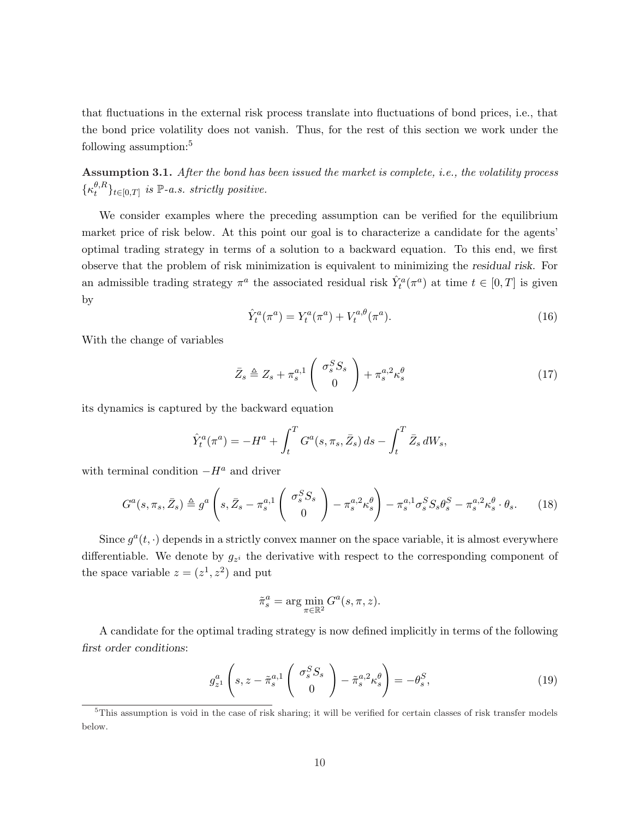that fluctuations in the external risk process translate into fluctuations of bond prices, i.e., that the bond price volatility does not vanish. Thus, for the rest of this section we work under the following assumption:<sup>5</sup>

Assumption 3.1. After the bond has been issued the market is complete, i.e., the volatility process  $\{\kappa_t^{\theta,R}$  $\{e^{iR}\}_{t\in[0,T]}$  is  $\mathbb{P}\text{-}a.s.$  strictly positive.

We consider examples where the preceding assumption can be verified for the equilibrium market price of risk below. At this point our goal is to characterize a candidate for the agents' optimal trading strategy in terms of a solution to a backward equation. To this end, we first observe that the problem of risk minimization is equivalent to minimizing the residual risk. For an admissible trading strategy  $\pi^a$  the associated residual risk  $\hat{Y}_t^a(\pi^a)$  at time  $t \in [0, T]$  is given by

$$
\hat{Y}_t^a(\pi^a) = Y_t^a(\pi^a) + V_t^{a,\theta}(\pi^a). \tag{16}
$$

With the change of variables

$$
\bar{Z}_s \triangleq Z_s + \pi_s^{a,1} \begin{pmatrix} \sigma_s^S S_s \\ 0 \end{pmatrix} + \pi_s^{a,2} \kappa_s^{\theta} \tag{17}
$$

its dynamics is captured by the backward equation

$$
\hat{Y}_t^a(\pi^a) = -H^a + \int_t^T G^a(s, \pi_s, \bar{Z}_s) ds - \int_t^T \bar{Z}_s dW_s,
$$

with terminal condition  $-H^a$  and driver

$$
G^{a}(s,\pi_{s},\bar{Z}_{s}) \triangleq g^{a}\left(s,\bar{Z}_{s}-\pi_{s}^{a,1}\left(\begin{array}{c} \sigma_{s}^{S}S_{s} \\ 0 \end{array}\right)-\pi_{s}^{a,2}\kappa_{s}^{\theta}\right)-\pi_{s}^{a,1}\sigma_{s}^{S}S_{s}\theta_{s}^{S}-\pi_{s}^{a,2}\kappa_{s}^{\theta}\cdot\theta_{s}.\tag{18}
$$

Since  $g^a(t, \cdot)$  depends in a strictly convex manner on the space variable, it is almost everywhere differentiable. We denote by  $g_{z_i}$  the derivative with respect to the corresponding component of the space variable  $z = (z^1, z^2)$  and put

$$
\tilde{\pi}_s^a = \arg\min_{\pi \in \mathbb{R}^2} G^a(s, \pi, z).
$$

A candidate for the optimal trading strategy is now defined implicitly in terms of the following first order conditions:

$$
g_{z^1}^a \left(s, z - \tilde{\pi}_s^{a,1} \begin{pmatrix} \sigma_s^S S_s \\ 0 \end{pmatrix} - \tilde{\pi}_s^{a,2} \kappa_s^\theta \right) = -\theta_s^S,
$$
\n(19)

 $5$ This assumption is void in the case of risk sharing; it will be verified for certain classes of risk transfer models below.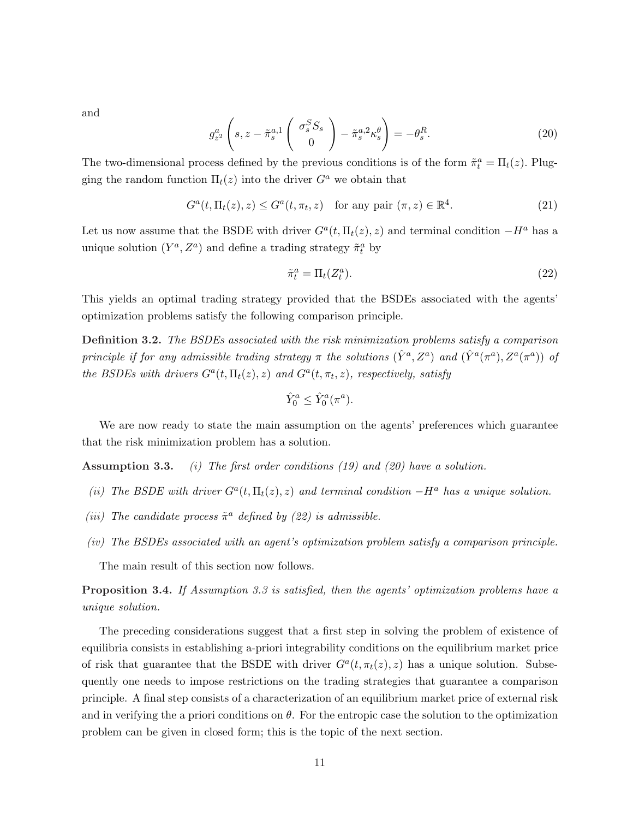and

$$
g_{z^2}^a \left(s, z - \tilde{\pi}_s^{a,1} \begin{pmatrix} \sigma_s^S S_s \\ 0 \end{pmatrix} - \tilde{\pi}_s^{a,2} \kappa_s^\theta \right) = -\theta_s^R. \tag{20}
$$

The two-dimensional process defined by the previous conditions is of the form  $\tilde{\pi}_t^a = \Pi_t(z)$ . Plugging the random function  $\Pi_t(z)$  into the driver  $G^a$  we obtain that

$$
G^{a}(t, \Pi_{t}(z), z) \leq G^{a}(t, \pi_{t}, z) \quad \text{for any pair } (\pi, z) \in \mathbb{R}^{4}.
$$
 (21)

Let us now assume that the BSDE with driver  $G^a(t, \Pi_t(z), z)$  and terminal condition  $-H^a$  has a unique solution  $(Y^a, Z^a)$  and define a trading strategy  $\tilde{\pi}_t^a$  by

$$
\tilde{\pi}_t^a = \Pi_t(Z_t^a). \tag{22}
$$

This yields an optimal trading strategy provided that the BSDEs associated with the agents' optimization problems satisfy the following comparison principle.

Definition 3.2. The BSDEs associated with the risk minimization problems satisfy a comparison principle if for any admissible trading strategy  $\pi$  the solutions  $(\hat{Y}^a, Z^a)$  and  $(\hat{Y}^a(\pi^a), Z^a(\pi^a))$  of the BSDEs with drivers  $G^a(t, \Pi_t(z), z)$  and  $G^a(t, \pi_t, z)$ , respectively, satisfy

$$
\hat{Y}_0^a \le \hat{Y}_0^a(\pi^a).
$$

We are now ready to state the main assumption on the agents' preferences which guarantee that the risk minimization problem has a solution.

**Assumption 3.3.** (i) The first order conditions (19) and (20) have a solution.

- (ii) The BSDE with driver  $G^a(t, \Pi_t(z), z)$  and terminal condition  $-H^a$  has a unique solution.
- (iii) The candidate process  $\tilde{\pi}^a$  defined by (22) is admissible.
- (iv) The BSDEs associated with an agent's optimization problem satisfy a comparison principle.

The main result of this section now follows.

Proposition 3.4. If Assumption 3.3 is satisfied, then the agents' optimization problems have a unique solution.

The preceding considerations suggest that a first step in solving the problem of existence of equilibria consists in establishing a-priori integrability conditions on the equilibrium market price of risk that guarantee that the BSDE with driver  $G^a(t, \pi_t(z), z)$  has a unique solution. Subsequently one needs to impose restrictions on the trading strategies that guarantee a comparison principle. A final step consists of a characterization of an equilibrium market price of external risk and in verifying the a priori conditions on  $\theta$ . For the entropic case the solution to the optimization problem can be given in closed form; this is the topic of the next section.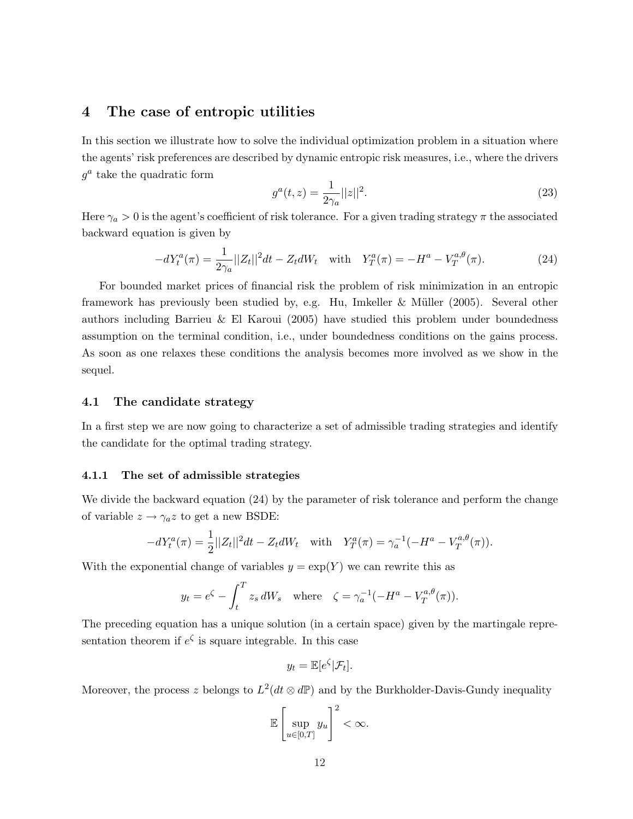# 4 The case of entropic utilities

In this section we illustrate how to solve the individual optimization problem in a situation where the agents' risk preferences are described by dynamic entropic risk measures, i.e., where the drivers  $g^a$  take the quadratic form

$$
g^{a}(t,z) = \frac{1}{2\gamma_{a}}||z||^{2}.
$$
\n(23)

Here  $\gamma_a > 0$  is the agent's coefficient of risk tolerance. For a given trading strategy  $\pi$  the associated backward equation is given by

$$
-dY_t^a(\pi) = \frac{1}{2\gamma_a}||Z_t||^2 dt - Z_t dW_t \quad \text{with} \quad Y_T^a(\pi) = -H^a - V_T^{a,\theta}(\pi). \tag{24}
$$

For bounded market prices of financial risk the problem of risk minimization in an entropic framework has previously been studied by, e.g. Hu, Imkeller & M¨uller (2005). Several other authors including Barrieu & El Karoui (2005) have studied this problem under boundedness assumption on the terminal condition, i.e., under boundedness conditions on the gains process. As soon as one relaxes these conditions the analysis becomes more involved as we show in the sequel.

## 4.1 The candidate strategy

In a first step we are now going to characterize a set of admissible trading strategies and identify the candidate for the optimal trading strategy.

#### 4.1.1 The set of admissible strategies

We divide the backward equation  $(24)$  by the parameter of risk tolerance and perform the change of variable  $z \rightarrow \gamma_a z$  to get a new BSDE:

$$
-dY_t^a(\pi) = \frac{1}{2}||Z_t||^2dt - Z_t dW_t \quad \text{with} \quad Y_T^a(\pi) = \gamma_a^{-1}(-H^a - V_T^{a,\theta}(\pi)).
$$

With the exponential change of variables  $y = \exp(Y)$  we can rewrite this as

$$
y_t = e^{\zeta} - \int_t^T z_s dW_s \quad \text{where} \quad \zeta = \gamma_a^{-1}(-H^a - V_T^{a,\theta}(\pi)).
$$

The preceding equation has a unique solution (in a certain space) given by the martingale representation theorem if  $e^{\zeta}$  is square integrable. In this case

$$
y_t = \mathbb{E}[e^{\zeta}|\mathcal{F}_t].
$$

Moreover, the process z belongs to  $L^2(dt \otimes d\mathbb{P})$  and by the Burkholder-Davis-Gundy inequality

$$
\mathbb{E}\left[\sup_{u\in[0,T]}y_u\right]^2<\infty.
$$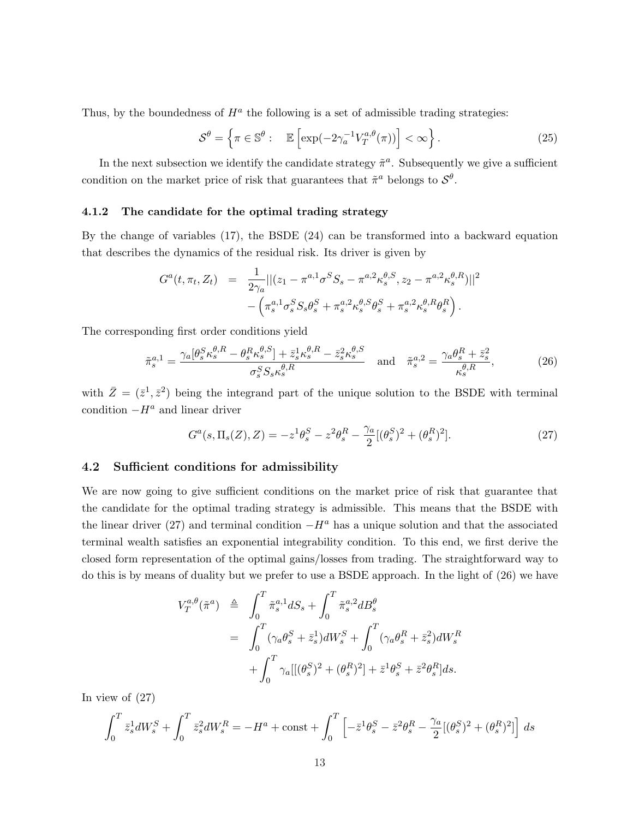Thus, by the boundedness of  $H^a$  the following is a set of admissible trading strategies:

$$
S^{\theta} = \left\{ \pi \in \mathbb{S}^{\theta} : \mathbb{E} \left[ \exp(-2\gamma_a^{-1} V_T^{a,\theta}(\pi)) \right] < \infty \right\}. \tag{25}
$$

In the next subsection we identify the candidate strategy  $\tilde{\pi}^a$ . Subsequently we give a sufficient condition on the market price of risk that guarantees that  $\tilde{\pi}^a$  belongs to  $\mathcal{S}^{\theta}$ .

#### 4.1.2 The candidate for the optimal trading strategy

By the change of variables (17), the BSDE (24) can be transformed into a backward equation that describes the dynamics of the residual risk. Its driver is given by

$$
G^{a}(t, \pi_{t}, Z_{t}) = \frac{1}{2\gamma_{a}}||(z_{1} - \pi^{a,1}\sigma^{S}S_{s} - \pi^{a,2}\kappa_{s}^{\theta,S}, z_{2} - \pi^{a,2}\kappa_{s}^{\theta,R})||^{2} - (\pi_{s}^{a,1}\sigma_{s}^{S}S_{s}\theta_{s}^{S} + \pi_{s}^{a,2}\kappa_{s}^{\theta,S}\theta_{s}^{S} + \pi_{s}^{a,2}\kappa_{s}^{\theta,R}\theta_{s}^{R}).
$$

The corresponding first order conditions yield

$$
\tilde{\pi}_s^{a,1} = \frac{\gamma_a[\theta_s^S \kappa_s^{\theta,R} - \theta_s^R \kappa_s^{\theta,S}] + \bar{z}_s^1 \kappa_s^{\theta,R} - \bar{z}_s^2 \kappa_s^{\theta,S}}{\sigma_s^S S_s \kappa_s^{\theta,R}} \quad \text{and} \quad \tilde{\pi}_s^{a,2} = \frac{\gamma_a \theta_s^R + \bar{z}_s^2}{\kappa_s^{\theta,R}},\tag{26}
$$

with  $\bar{Z} = (\bar{z}^1, \bar{z}^2)$  being the integrand part of the unique solution to the BSDE with terminal condition  $-H^a$  and linear driver

$$
G^{a}(s, \Pi_{s}(Z), Z) = -z^{1} \theta_{s}^{S} - z^{2} \theta_{s}^{R} - \frac{\gamma_{a}}{2} [(\theta_{s}^{S})^{2} + (\theta_{s}^{R})^{2}].
$$
\n(27)

## 4.2 Sufficient conditions for admissibility

We are now going to give sufficient conditions on the market price of risk that guarantee that the candidate for the optimal trading strategy is admissible. This means that the BSDE with the linear driver (27) and terminal condition  $-H^a$  has a unique solution and that the associated terminal wealth satisfies an exponential integrability condition. To this end, we first derive the closed form representation of the optimal gains/losses from trading. The straightforward way to do this is by means of duality but we prefer to use a BSDE approach. In the light of (26) we have

$$
V_T^{a,\theta}(\tilde{\pi}^a) \triangleq \int_0^T \tilde{\pi}_s^{a,1} dS_s + \int_0^T \tilde{\pi}_s^{a,2} dB_s^{\theta}
$$
  
= 
$$
\int_0^T (\gamma_a \theta_s^S + \bar{z}_s^1) dW_s^S + \int_0^T (\gamma_a \theta_s^R + \bar{z}_s^2) dW_s^R
$$
  
+ 
$$
\int_0^T \gamma_a [(\theta_s^S)^2 + (\theta_s^R)^2] + \bar{z}^1 \theta_s^S + \bar{z}^2 \theta_s^R] ds.
$$

In view of (27)

$$
\int_0^T \bar{z}_s^1 dW_s^S + \int_0^T \bar{z}_s^2 dW_s^R = -H^a + \text{const} + \int_0^T \left[ -\bar{z}^1 \theta_s^S - \bar{z}^2 \theta_s^R - \frac{\gamma_a}{2} [(\theta_s^S)^2 + (\theta_s^R)^2] \right] ds
$$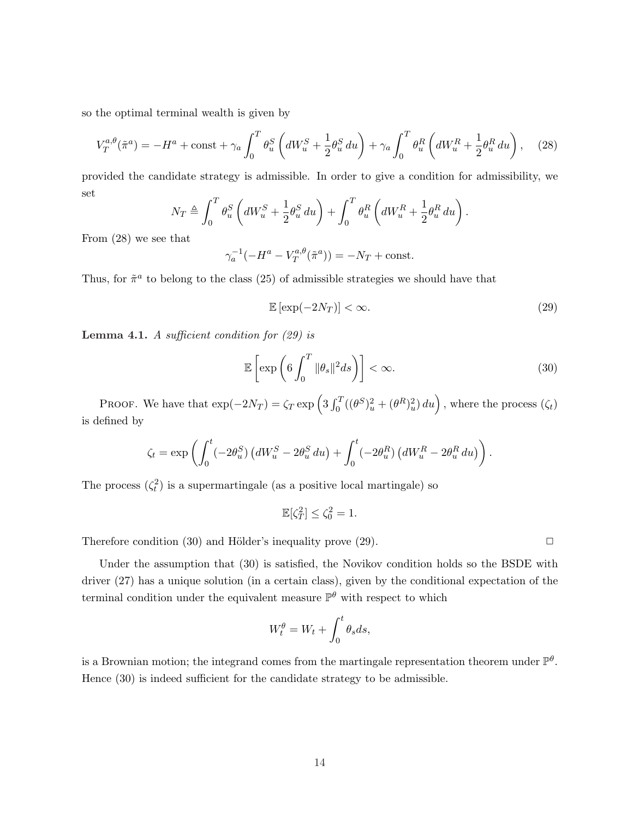so the optimal terminal wealth is given by

$$
V_T^{a,\theta}(\tilde{\pi}^a) = -H^a + \text{const} + \gamma_a \int_0^T \theta_u^S \left( dW_u^S + \frac{1}{2} \theta_u^S du \right) + \gamma_a \int_0^T \theta_u^R \left( dW_u^R + \frac{1}{2} \theta_u^R du \right), \quad (28)
$$

provided the candidate strategy is admissible. In order to give a condition for admissibility, we set  $\mathbf{r}^T$  $\overline{a}$  $\mathbf{r}^T$  $\overline{a}$ 

$$
N_T \triangleq \int_0^T \theta_u^S \left( dW_u^S + \frac{1}{2} \theta_u^S du \right) + \int_0^T \theta_u^R \left( dW_u^R + \frac{1}{2} \theta_u^R du \right).
$$

From (28) we see that

$$
\gamma_a^{-1}(-H^a - V_T^{a,\theta}(\tilde{\pi}^a)) = -N_T + \text{const.}
$$

Thus, for  $\tilde{\pi}^a$  to belong to the class (25) of admissible strategies we should have that

$$
\mathbb{E}\left[\exp(-2N_T)\right] < \infty. \tag{29}
$$

**Lemma 4.1.** A sufficient condition for  $(29)$  is

$$
\mathbb{E}\left[\exp\left(6\int_0^T \|\theta_s\|^2 ds\right)\right] < \infty.
$$
\n(30)

PROOF. We have that  $\exp(-2N_T) = \zeta_T \exp\left(3 \int_0^T \right)$  $\int_0^T \left( (\theta^S)_u^2 + (\theta^R)_u^2 \right) du \right)$ , where the process  $(\zeta_t)$ is defined by

$$
\zeta_t = \exp\left(\int_0^t (-2\theta_u^S) \left( dW_u^S - 2\theta_u^S du \right) + \int_0^t (-2\theta_u^R) \left( dW_u^R - 2\theta_u^R du \right) \right).
$$

The process  $(\zeta_t^2)$  is a supermartingale (as a positive local martingale) so

$$
\mathbb{E}[\zeta_T^2] \le \zeta_0^2 = 1.
$$

Therefore condition (30) and Hölder's inequality prove (29).  $\Box$ 

Under the assumption that (30) is satisfied, the Novikov condition holds so the BSDE with driver (27) has a unique solution (in a certain class), given by the conditional expectation of the terminal condition under the equivalent measure  $\mathbb{P}^{\theta}$  with respect to which

$$
W_t^{\theta} = W_t + \int_0^t \theta_s ds,
$$

is a Brownian motion; the integrand comes from the martingale representation theorem under  $\mathbb{P}^{\theta}$ . Hence (30) is indeed sufficient for the candidate strategy to be admissible.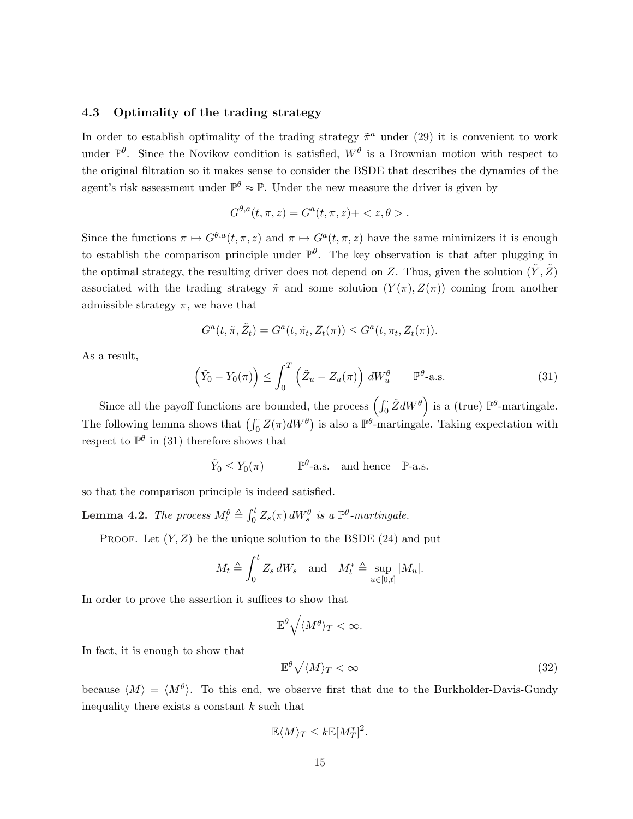## 4.3 Optimality of the trading strategy

In order to establish optimality of the trading strategy  $\tilde{\pi}^a$  under (29) it is convenient to work under  $\mathbb{P}^{\theta}$ . Since the Novikov condition is satisfied,  $W^{\theta}$  is a Brownian motion with respect to the original filtration so it makes sense to consider the BSDE that describes the dynamics of the agent's risk assessment under  $\mathbb{P}^{\theta} \approx \mathbb{P}$ . Under the new measure the driver is given by

$$
G^{\theta,a}(t,\pi,z) = G^a(t,\pi,z) + \langle z,\theta \rangle.
$$

Since the functions  $\pi \mapsto G^{\theta,a}(t,\pi,z)$  and  $\pi \mapsto G^a(t,\pi,z)$  have the same minimizers it is enough to establish the comparison principle under  $\mathbb{P}^{\theta}$ . The key observation is that after plugging in the optimal strategy, the resulting driver does not depend on Z. Thus, given the solution  $(\tilde{Y}, \tilde{Z})$ associated with the trading strategy  $\tilde{\pi}$  and some solution  $(Y(\pi), Z(\pi))$  coming from another admissible strategy  $\pi$ , we have that

$$
G^{a}(t,\tilde{\pi},\tilde{Z}_{t})=G^{a}(t,\tilde{\pi}_{t},Z_{t}(\pi))\leq G^{a}(t,\pi_{t},Z_{t}(\pi)).
$$

As a result,

$$
\left(\tilde{Y}_0 - Y_0(\pi)\right) \le \int_0^T \left(\tilde{Z}_u - Z_u(\pi)\right) dW_u^{\theta} \qquad \mathbb{P}^{\theta} \text{-a.s.}
$$
\n(31)

Since all the payoff functions are bounded, the process  $\int_{0}^{L} \tilde{Z} dW^{\theta}$ is a (true)  $\mathbb{P}^{\theta}$ -martingale. The following lemma shows that  $(\int_0^{\cdot} Z(\pi)dW^{\theta})$ is also a  $\mathbb{P}^{\theta}$ -martingale. Taking expectation with respect to  $\mathbb{P}^{\theta}$  in (31) therefore shows that

$$
\tilde{Y}_0 \le Y_0(\pi)
$$
  $\mathbb{P}^{\theta}$ -a.s. and hence  $\mathbb{P}$ -a.s.

so that the comparison principle is indeed satisfied.

**Lemma 4.2.** The process  $M_t^{\theta} \triangleq$  $\int_0^t$  $\int_0^t Z_s(\pi) dW_s^{\theta}$  is a  $\mathbb{P}^{\theta}$ -martingale.

PROOF. Let  $(Y, Z)$  be the unique solution to the BSDE (24) and put

$$
M_t \triangleq \int_0^t Z_s dW_s \quad \text{and} \quad M_t^* \triangleq \sup_{u \in [0,t]} |M_u|.
$$

In order to prove the assertion it suffices to show that

$$
\mathbb{E}^{\theta}\sqrt{\langle M^{\theta}\rangle_T} < \infty.
$$

In fact, it is enough to show that

$$
\mathbb{E}^{\theta}\sqrt{\langle M\rangle_T} < \infty \tag{32}
$$

because  $\langle M \rangle = \langle M^{\theta} \rangle$ . To this end, we observe first that due to the Burkholder-Davis-Gundy inequality there exists a constant  $k$  such that

$$
\mathbb{E}\langle M \rangle_T \leq k \mathbb{E}[M_T^*]^2.
$$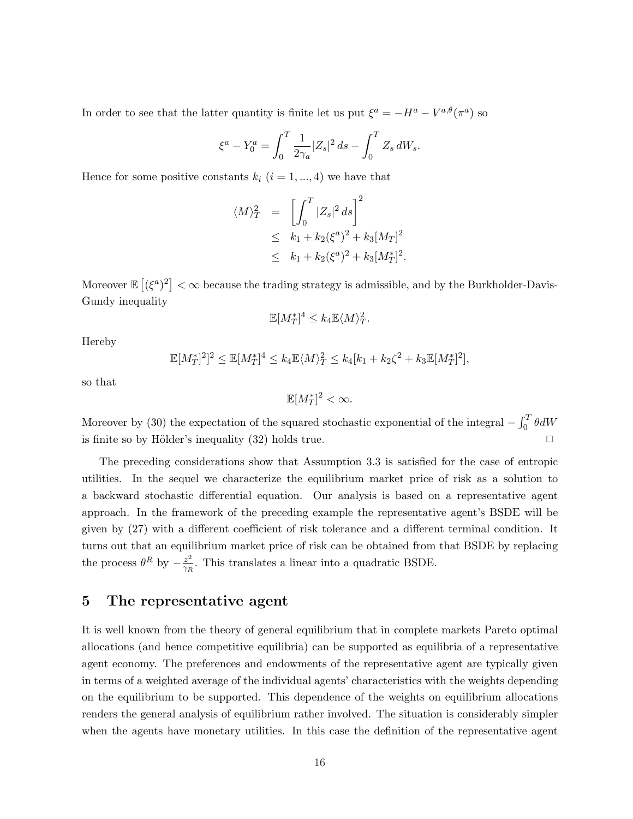In order to see that the latter quantity is finite let us put  $\xi^a = -H^a - V^{a,\theta}(\pi^a)$  so

$$
\xi^a - Y_0^a = \int_0^T \frac{1}{2\gamma_a} |Z_s|^2 \, ds - \int_0^T Z_s \, dW_s.
$$

Hence for some positive constants  $k_i$   $(i = 1, ..., 4)$  we have that

$$
\langle M \rangle_T^2 = \left[ \int_0^T |Z_s|^2 ds \right]^2
$$
  
\n
$$
\leq k_1 + k_2 (\xi^a)^2 + k_3 [M_T]^2
$$
  
\n
$$
\leq k_1 + k_2 (\xi^a)^2 + k_3 [M_T^*]^2.
$$

Moreover  $\mathbb E$ £  $(\xi^a)^2$  $<\infty$  because the trading strategy is admissible, and by the Burkholder-Davis-Gundy inequality

$$
\mathbb{E}[M_T^*]^4 \leq k_4 \mathbb{E}\langle M \rangle_T^2.
$$

Hereby

$$
\mathbb{E}[M_T^*]^2]^2 \leq \mathbb{E}[M_T^*]^4 \leq k_4 \mathbb{E}\langle M \rangle_T^2 \leq k_4[k_1 + k_2\zeta^2 + k_3\mathbb{E}[M_T^*]^2],
$$

so that

$$
\mathbb{E}[M_T^*]^2 < \infty.
$$

Moreover by (30) the expectation of the squared stochastic exponential of the integral  $-\int_0^T$  $\int_0^1 \theta dW$ is finite so by Hölder's inequality  $(32)$  holds true.

The preceding considerations show that Assumption 3.3 is satisfied for the case of entropic utilities. In the sequel we characterize the equilibrium market price of risk as a solution to a backward stochastic differential equation. Our analysis is based on a representative agent approach. In the framework of the preceding example the representative agent's BSDE will be given by (27) with a different coefficient of risk tolerance and a different terminal condition. It turns out that an equilibrium market price of risk can be obtained from that BSDE by replacing the process  $\theta^R$  by  $-\frac{z^2}{\gamma R}$  $\frac{z^2}{\gamma_R}$ . This translates a linear into a quadratic BSDE.

# 5 The representative agent

It is well known from the theory of general equilibrium that in complete markets Pareto optimal allocations (and hence competitive equilibria) can be supported as equilibria of a representative agent economy. The preferences and endowments of the representative agent are typically given in terms of a weighted average of the individual agents' characteristics with the weights depending on the equilibrium to be supported. This dependence of the weights on equilibrium allocations renders the general analysis of equilibrium rather involved. The situation is considerably simpler when the agents have monetary utilities. In this case the definition of the representative agent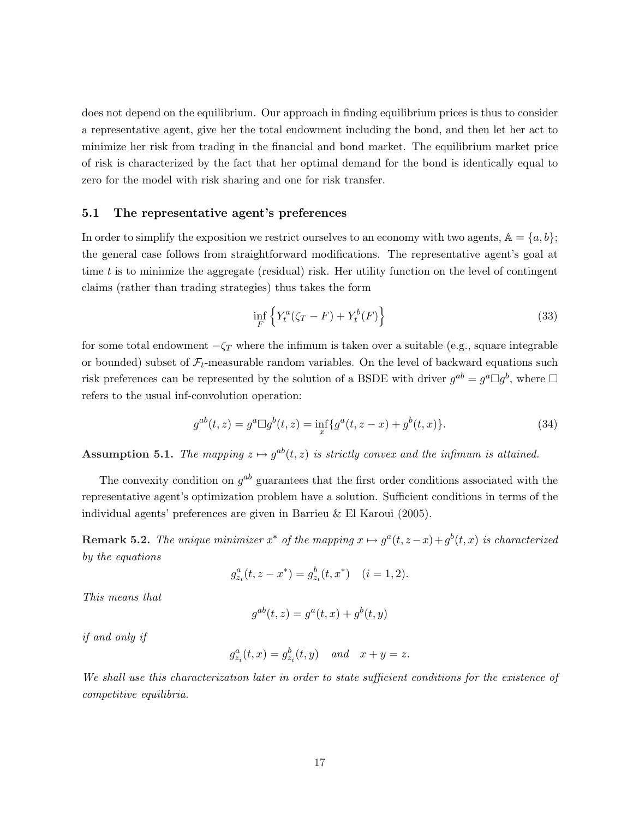does not depend on the equilibrium. Our approach in finding equilibrium prices is thus to consider a representative agent, give her the total endowment including the bond, and then let her act to minimize her risk from trading in the financial and bond market. The equilibrium market price of risk is characterized by the fact that her optimal demand for the bond is identically equal to zero for the model with risk sharing and one for risk transfer.

## 5.1 The representative agent's preferences

In order to simplify the exposition we restrict ourselves to an economy with two agents,  $A = \{a, b\}$ ; the general case follows from straightforward modifications. The representative agent's goal at time  $t$  is to minimize the aggregate (residual) risk. Her utility function on the level of contingent claims (rather than trading strategies) thus takes the form

$$
\inf_{F} \left\{ Y_t^a(\zeta_T - F) + Y_t^b(F) \right\} \tag{33}
$$

for some total endowment  $-\zeta_T$  where the infimum is taken over a suitable (e.g., square integrable or bounded) subset of  $\mathcal{F}_t$ -measurable random variables. On the level of backward equations such risk preferences can be represented by the solution of a BSDE with driver  $g^{ab} = g^a \Box g^b$ , where  $\Box$ refers to the usual inf-convolution operation:

$$
g^{ab}(t,z) = g^a \Box g^b(t,z) = \inf_x \{ g^a(t,z-x) + g^b(t,x) \}.
$$
 (34)

**Assumption 5.1.** The mapping  $z \mapsto g^{ab}(t, z)$  is strictly convex and the infimum is attained.

The convexity condition on  $g^{ab}$  guarantees that the first order conditions associated with the representative agent's optimization problem have a solution. Sufficient conditions in terms of the individual agents' preferences are given in Barrieu & El Karoui (2005).

**Remark 5.2.** The unique minimizer  $x^*$  of the mapping  $x \mapsto g^a(t, z-x) + g^b(t, x)$  is characterized by the equations

$$
g_{z_i}^a(t, z - x^*) = g_{z_i}^b(t, x^*) \quad (i = 1, 2).
$$

This means that

$$
g^{ab}(t, z) = g^{a}(t, x) + g^{b}(t, y)
$$

if and only if

$$
g_{z_i}^a(t,x) = g_{z_i}^b(t,y) \quad and \quad x+y=z.
$$

We shall use this characterization later in order to state sufficient conditions for the existence of competitive equilibria.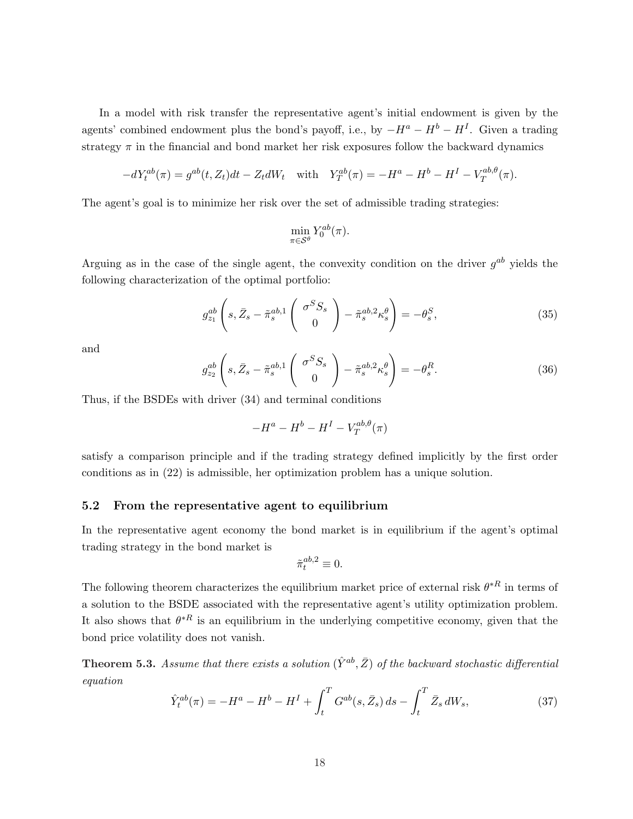In a model with risk transfer the representative agent's initial endowment is given by the agents' combined endowment plus the bond's payoff, i.e., by  $-H^a - H^b - H^I$ . Given a trading strategy  $\pi$  in the financial and bond market her risk exposures follow the backward dynamics

$$
-dY_t^{ab}(\pi) = g^{ab}(t, Z_t)dt - Z_t dW_t \quad \text{with} \quad Y_T^{ab}(\pi) = -H^a - H^b - H^I - V_T^{ab,\theta}(\pi).
$$

The agent's goal is to minimize her risk over the set of admissible trading strategies:

$$
\min_{\pi \in \mathcal{S}^{\theta}} Y_0^{ab}(\pi).
$$

Arguing as in the case of the single agent, the convexity condition on the driver  $g^{ab}$  yields the following characterization of the optimal portfolio:

$$
g_{z_1}^{ab} \left(s, \bar{Z}_s - \tilde{\pi}_s^{ab,1} \left( \begin{array}{c} \sigma^S S_s \\ 0 \end{array} \right) - \tilde{\pi}_s^{ab,2} \kappa_s^{\theta} \right) = -\theta_s^S, \tag{35}
$$

and

$$
g_{z_2}^{ab} \left( s, \bar{Z}_s - \tilde{\pi}_s^{ab,1} \begin{pmatrix} \sigma^S S_s \\ 0 \end{pmatrix} - \tilde{\pi}_s^{ab,2} \kappa_s^{\theta} \right) = -\theta_s^R. \tag{36}
$$

Thus, if the BSDEs with driver (34) and terminal conditions

$$
-H^a - H^b - H^I - V_T^{ab, \theta}(\pi)
$$

satisfy a comparison principle and if the trading strategy defined implicitly by the first order conditions as in (22) is admissible, her optimization problem has a unique solution.

## 5.2 From the representative agent to equilibrium

In the representative agent economy the bond market is in equilibrium if the agent's optimal trading strategy in the bond market is

$$
\tilde{\pi}^{ab,2}_t\equiv 0.
$$

The following theorem characterizes the equilibrium market price of external risk  $\theta^{*R}$  in terms of a solution to the BSDE associated with the representative agent's utility optimization problem. It also shows that  $\theta^{*R}$  is an equilibrium in the underlying competitive economy, given that the bond price volatility does not vanish.

**Theorem 5.3.** Assume that there exists a solution  $(\hat{Y}^{ab}, \bar{Z})$  of the backward stochastic differential equation

$$
\hat{Y}_t^{ab}(\pi) = -H^a - H^b - H^I + \int_t^T G^{ab}(s, \bar{Z}_s) ds - \int_t^T \bar{Z}_s dW_s,\tag{37}
$$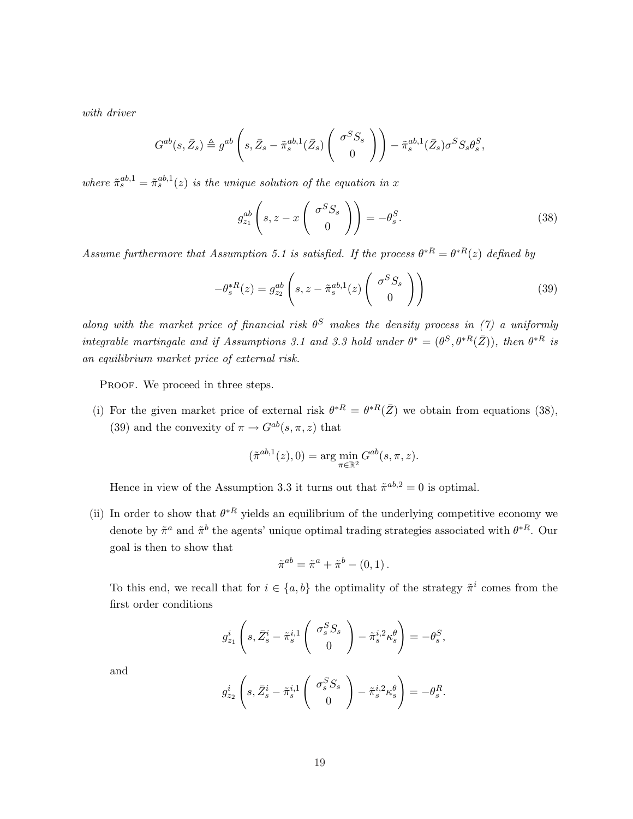with driver

$$
G^{ab}(s, \bar{Z}_s) \triangleq g^{ab} \left(s, \bar{Z}_s - \tilde{\pi}_s^{ab,1}(\bar{Z}_s) \left(\begin{array}{c} \sigma^S S_s \\ 0 \end{array} \right) \right) - \tilde{\pi}_s^{ab,1}(\bar{Z}_s) \sigma^S S_s \theta_s^S,
$$

where  $\tilde{\pi}_s^{ab,1} = \tilde{\pi}_s^{ab,1}(z)$  is the unique solution of the equation in x

$$
g_{z_1}^{ab} \left( s, z - x \begin{pmatrix} \sigma^S S_s \\ 0 \end{pmatrix} \right) = -\theta_s^S. \tag{38}
$$

Assume furthermore that Assumption 5.1 is satisfied. If the process  $\theta^{*R} = \theta^{*R}(z)$  defined by

$$
-\theta_s^{*R}(z) = g_{z_2}^{ab} \left( s, z - \tilde{\pi}_s^{ab,1}(z) \begin{pmatrix} \sigma^S S_s \\ 0 \end{pmatrix} \right)
$$
 (39)

along with the market price of financial risk  $\theta^S$  makes the density process in (7) a uniformly integrable martingale and if Assumptions 3.1 and 3.3 hold under  $\theta^* = (\theta^S, \theta^{*R}(\bar{Z}))$ , then  $\theta^{*R}$  is an equilibrium market price of external risk.

PROOF. We proceed in three steps.

(i) For the given market price of external risk  $\theta^{*R} = \theta^{*R}(\bar{Z})$  we obtain from equations (38), (39) and the convexity of  $\pi \to G^{ab}(s, \pi, z)$  that

$$
(\tilde{\pi}^{ab,1}(z),0) = \arg\min_{\pi \in \mathbb{R}^2} G^{ab}(s,\pi,z).
$$

Hence in view of the Assumption 3.3 it turns out that  $\tilde{\pi}^{ab,2} = 0$  is optimal.

(ii) In order to show that  $\theta^{*R}$  yields an equilibrium of the underlying competitive economy we denote by  $\tilde{\pi}^a$  and  $\tilde{\pi}^b$  the agents' unique optimal trading strategies associated with  $\theta^{*R}$ . Our goal is then to show that

$$
\tilde{\pi}^{ab} = \tilde{\pi}^a + \tilde{\pi}^b - (0, 1).
$$

To this end, we recall that for  $i \in \{a, b\}$  the optimality of the strategy  $\tilde{\pi}^i$  comes from the first order conditions

$$
g_{z_1}^i \left(s, \bar{Z}_s^i - \tilde{\pi}_s^{i,1} \begin{pmatrix} \sigma_s^S S_s \\ 0 \end{pmatrix} - \tilde{\pi}_s^{i,2} \kappa_s^{\theta} \right) = -\theta_s^S,
$$

and

$$
g_{z_2}^i \left( s, \bar{Z}_s^i - \tilde{\pi}_s^{i,1} \begin{pmatrix} \sigma_s^S S_s \\ 0 \end{pmatrix} - \tilde{\pi}_s^{i,2} \kappa_s^{\theta} \right) = -\theta_s^R.
$$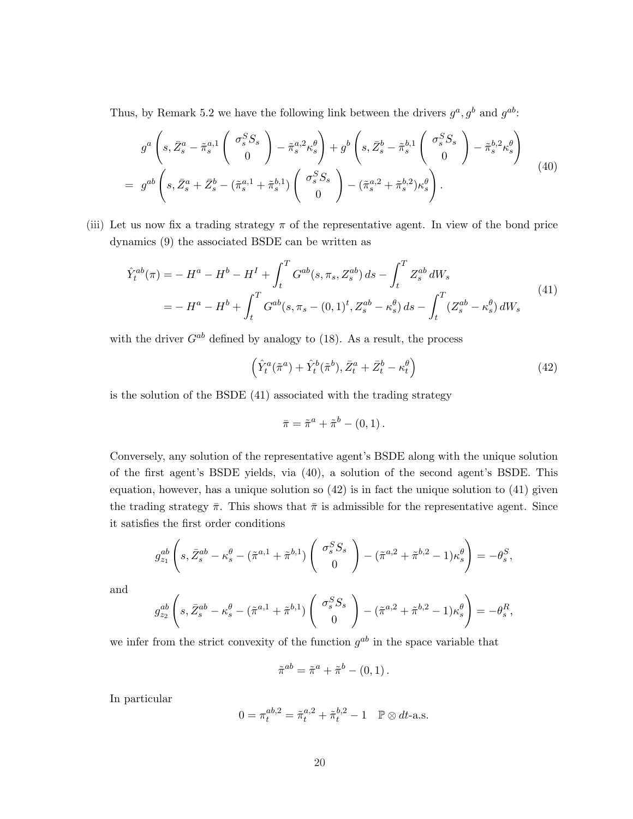Thus, by Remark 5.2 we have the following link between the drivers  $g^a$ ,  $g^b$  and  $g^{ab}$ :

$$
g^a \left(s, \bar{Z}_s^a - \tilde{\pi}_s^{a,1} \begin{pmatrix} \sigma_s^S S_s \\ 0 \end{pmatrix} - \tilde{\pi}_s^{a,2} \kappa_s^{\theta} \right) + g^b \left(s, \bar{Z}_s^b - \tilde{\pi}_s^{b,1} \begin{pmatrix} \sigma_s^S S_s \\ 0 \end{pmatrix} - \tilde{\pi}_s^{b,2} \kappa_s^{\theta} \right)
$$
  
= 
$$
g^{ab} \left(s, \bar{Z}_s^a + \bar{Z}_s^b - (\tilde{\pi}_s^{a,1} + \tilde{\pi}_s^{b,1}) \begin{pmatrix} \sigma_s^S S_s \\ 0 \end{pmatrix} - (\tilde{\pi}_s^{a,2} + \tilde{\pi}_s^{b,2}) \kappa_s^{\theta} \right).
$$
 (40)

(iii) Let us now fix a trading strategy  $\pi$  of the representative agent. In view of the bond price dynamics (9) the associated BSDE can be written as

$$
\hat{Y}_t^{ab}(\pi) = -H^a - H^b - H^I + \int_t^T G^{ab}(s, \pi_s, Z_s^{ab}) ds - \int_t^T Z_s^{ab} dW_s
$$
\n
$$
= -H^a - H^b + \int_t^T G^{ab}(s, \pi_s - (0, 1)^t, Z_s^{ab} - \kappa_s^{\theta}) ds - \int_t^T (Z_s^{ab} - \kappa_s^{\theta}) dW_s
$$
\n(41)

with the driver  $G^{ab}$  defined by analogy to (18). As a result, the process

$$
\left(\hat{Y}_t^a(\tilde{\pi}^a) + \hat{Y}_t^b(\tilde{\pi}^b), \bar{Z}_t^a + \bar{Z}_t^b - \kappa_t^\theta\right)
$$
\n(42)

is the solution of the BSDE (41) associated with the trading strategy

$$
\bar{\pi} = \tilde{\pi}^a + \tilde{\pi}^b - (0,1).
$$

Conversely, any solution of the representative agent's BSDE along with the unique solution of the first agent's BSDE yields, via (40), a solution of the second agent's BSDE. This equation, however, has a unique solution so  $(42)$  is in fact the unique solution to  $(41)$  given the trading strategy  $\bar{\pi}$ . This shows that  $\bar{\pi}$  is admissible for the representative agent. Since it satisfies the first order conditions

$$
g_{z_1}^{ab}\left(s,\bar{Z}_s^{ab}-\kappa_s^{\theta}-(\tilde{\pi}^{a,1}+\tilde{\pi}^{b,1})\left(\begin{array}{c} \sigma_s^S S_s\\ 0 \end{array}\right)-(\tilde{\pi}^{a,2}+\tilde{\pi}^{b,2}-1)\kappa_s^{\theta}\right)=-\theta_s^S,
$$

and

$$
g_{z_2}^{ab}\left(s,\bar{Z}_s^{ab}-\kappa_s^{\theta}-(\tilde{\pi}^{a,1}+\tilde{\pi}^{b,1})\left(\begin{array}{c} \sigma_s^S S_s\\ 0 \end{array}\right)-(\tilde{\pi}^{a,2}+\tilde{\pi}^{b,2}-1)\kappa_s^{\theta}\right)=-\theta_s^R,
$$

we infer from the strict convexity of the function  $g^{ab}$  in the space variable that

$$
\tilde{\pi}^{ab} = \tilde{\pi}^a + \tilde{\pi}^b - (0, 1).
$$

In particular

$$
0 = \pi_t^{ab,2} = \tilde{\pi}_t^{a,2} + \tilde{\pi}_t^{b,2} - 1 \quad \mathbb{P} \otimes dt\text{-a.s.}
$$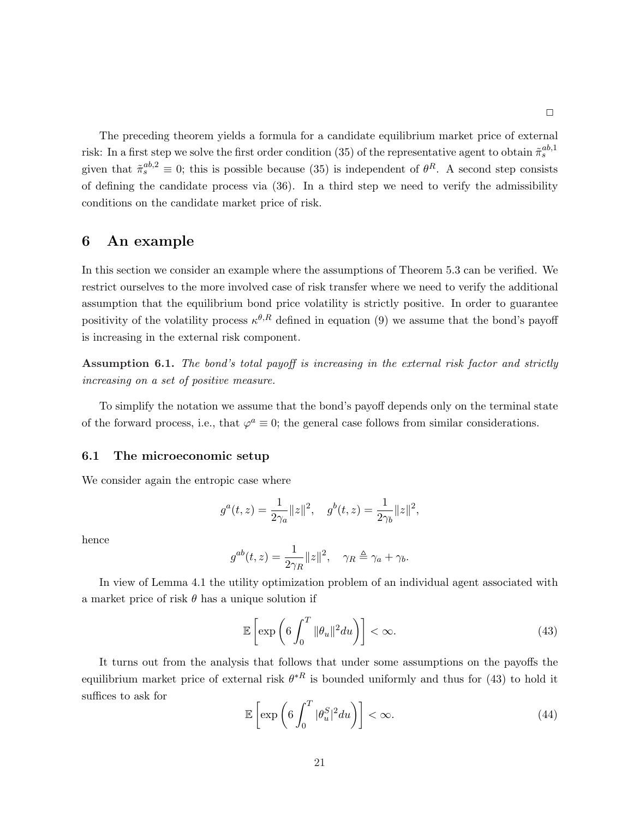The preceding theorem yields a formula for a candidate equilibrium market price of external risk: In a first step we solve the first order condition (35) of the representative agent to obtain  $\tilde{\pi}_s^{ab,1}$ given that  $\tilde{\pi}_s^{ab,2} \equiv 0$ ; this is possible because (35) is independent of  $\theta^R$ . A second step consists of defining the candidate process via (36). In a third step we need to verify the admissibility conditions on the candidate market price of risk.

# 6 An example

In this section we consider an example where the assumptions of Theorem 5.3 can be verified. We restrict ourselves to the more involved case of risk transfer where we need to verify the additional assumption that the equilibrium bond price volatility is strictly positive. In order to guarantee positivity of the volatility process  $\kappa^{\theta,R}$  defined in equation (9) we assume that the bond's payoff is increasing in the external risk component.

Assumption 6.1. The bond's total payoff is increasing in the external risk factor and strictly increasing on a set of positive measure.

To simplify the notation we assume that the bond's payoff depends only on the terminal state of the forward process, i.e., that  $\varphi^a \equiv 0$ ; the general case follows from similar considerations.

#### 6.1 The microeconomic setup

We consider again the entropic case where

$$
g^a(t,z)=\frac{1}{2\gamma_a}\|z\|^2,\quad g^b(t,z)=\frac{1}{2\gamma_b}\|z\|^2,
$$

hence

$$
g^{ab}(t,z) = \frac{1}{2\gamma_R} ||z||^2, \quad \gamma_R \triangleq \gamma_a + \gamma_b.
$$

In view of Lemma 4.1 the utility optimization problem of an individual agent associated with a market price of risk  $\theta$  has a unique solution if

$$
\mathbb{E}\left[\exp\left(6\int_0^T \|\theta_u\|^2 du\right)\right] < \infty.
$$
\n(43)

It turns out from the analysis that follows that under some assumptions on the payoffs the equilibrium market price of external risk  $\theta^{*R}$  is bounded uniformly and thus for (43) to hold it suffices to ask for ·  $\mathbf{r}^T$ 

$$
\mathbb{E}\left[\exp\left(6\int_0^T |\theta_u^S|^2 du\right)\right] < \infty. \tag{44}
$$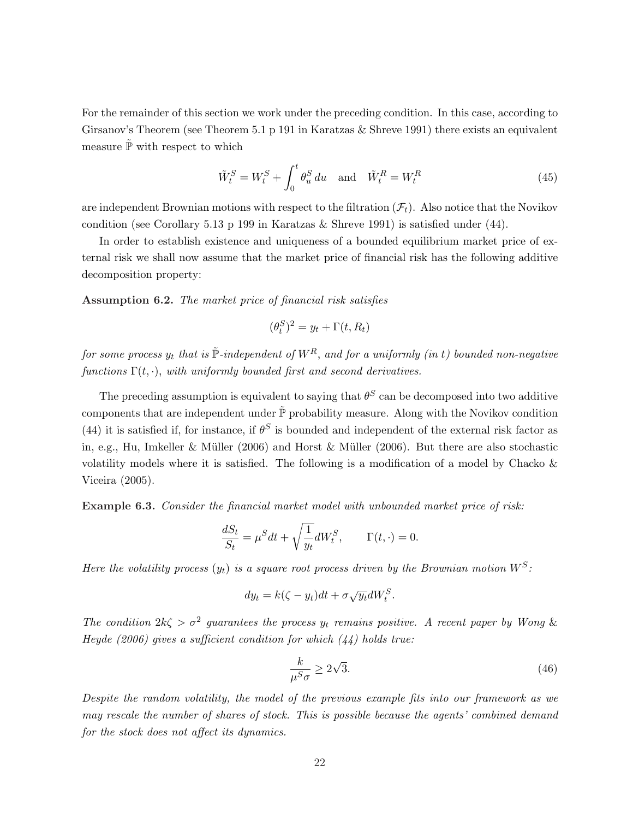For the remainder of this section we work under the preceding condition. In this case, according to Girsanov's Theorem (see Theorem 5.1 p 191 in Karatzas & Shreve 1991) there exists an equivalent measure  $\tilde{\mathbb{P}}$  with respect to which

$$
\tilde{W}_t^S = W_t^S + \int_0^t \theta_u^S du \quad \text{and} \quad \tilde{W}_t^R = W_t^R \tag{45}
$$

are independent Brownian motions with respect to the filtration  $(\mathcal{F}_t)$ . Also notice that the Novikov condition (see Corollary 5.13 p 199 in Karatzas  $\&$  Shreve 1991) is satisfied under (44).

In order to establish existence and uniqueness of a bounded equilibrium market price of external risk we shall now assume that the market price of financial risk has the following additive decomposition property:

Assumption 6.2. The market price of financial risk satisfies

$$
(\theta_t^S)^2 = y_t + \Gamma(t, R_t)
$$

for some process  $y_t$  that is  $\tilde{\mathbb{P}}$ -independent of  $W^R$ , and for a uniformly (in t) bounded non-negative functions  $\Gamma(t, \cdot)$ , with uniformly bounded first and second derivatives.

The preceding assumption is equivalent to saying that  $\theta^S$  can be decomposed into two additive components that are independent under  $\tilde{\mathbb{P}}$  probability measure. Along with the Novikov condition (44) it is satisfied if, for instance, if  $\theta^S$  is bounded and independent of the external risk factor as in, e.g., Hu, Imkeller & Müller (2006) and Horst & Müller (2006). But there are also stochastic volatility models where it is satisfied. The following is a modification of a model by Chacko & Viceira (2005).

Example 6.3. Consider the financial market model with unbounded market price of risk:

$$
\frac{dS_t}{S_t} = \mu^S dt + \sqrt{\frac{1}{y_t}} dW_t^S, \qquad \Gamma(t, \cdot) = 0.
$$

Here the volatility process  $(y_t)$  is a square root process driven by the Brownian motion  $W^S$ :

$$
dy_t = k(\zeta - y_t)dt + \sigma \sqrt{y_t}dW_t^S.
$$

The condition  $2k\zeta > \sigma^2$  guarantees the process  $y_t$  remains positive. A recent paper by Wong & Heyde (2006) gives a sufficient condition for which  $(44)$  holds true:

$$
\frac{k}{\mu^S \sigma} \ge 2\sqrt{3}.\tag{46}
$$

Despite the random volatility, the model of the previous example fits into our framework as we may rescale the number of shares of stock. This is possible because the agents' combined demand for the stock does not affect its dynamics.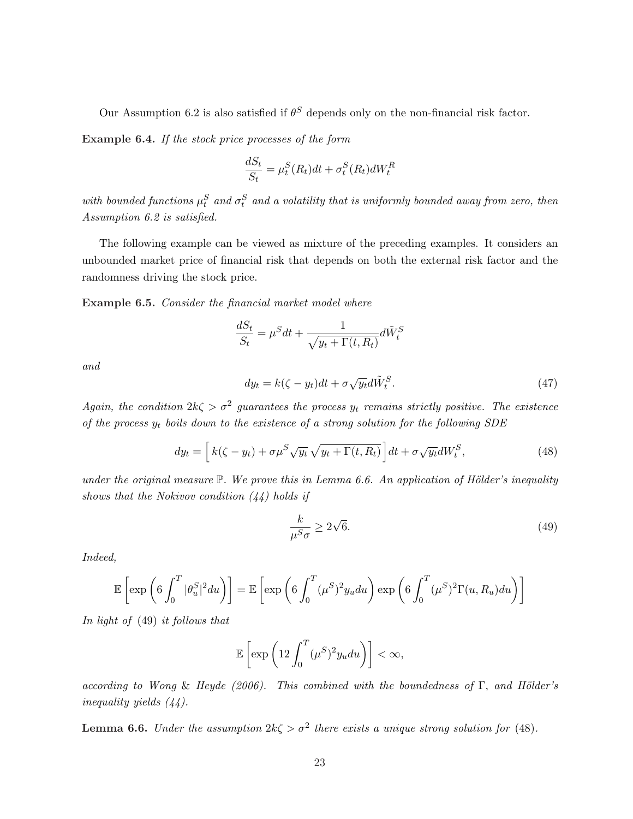Our Assumption 6.2 is also satisfied if  $\theta^S$  depends only on the non-financial risk factor.

Example 6.4. If the stock price processes of the form

$$
\frac{dS_t}{S_t} = \mu_t^S(R_t)dt + \sigma_t^S(R_t)dW_t^R
$$

with bounded functions  $\mu_t^S$  and  $\sigma_t^S$  and a volatility that is uniformly bounded away from zero, then Assumption 6.2 is satisfied.

The following example can be viewed as mixture of the preceding examples. It considers an unbounded market price of financial risk that depends on both the external risk factor and the randomness driving the stock price.

Example 6.5. Consider the financial market model where

$$
\frac{dS_t}{S_t} = \mu^S dt + \frac{1}{\sqrt{y_t + \Gamma(t, R_t)}} d\tilde{W}_t^S
$$

and

$$
dy_t = k(\zeta - y_t)dt + \sigma \sqrt{y_t}d\tilde{W}_t^S.
$$
\n(47)

Again, the condition  $2k\zeta > \sigma^2$  guarantees the process  $y_t$  remains strictly positive. The existence of the process  $y_t$  boils down to the existence of a strong solution for the following SDE

$$
dy_t = \left[ k(\zeta - y_t) + \sigma \mu^S \sqrt{y_t} \sqrt{y_t + \Gamma(t, R_t)} \right] dt + \sigma \sqrt{y_t} dW_t^S,
$$
\n(48)

under the original measure  $\mathbb{P}$ . We prove this in Lemma 6.6. An application of Hölder's inequality shows that the Nokivov condition  $(44)$  holds if

$$
\frac{k}{\mu^S \sigma} \ge 2\sqrt{6}.\tag{49}
$$

Indeed,

$$
\mathbb{E}\left[\exp\left(6\int_0^T |\theta_u^S|^2 du\right)\right] = \mathbb{E}\left[\exp\left(6\int_0^T (\mu^S)^2 y_u du\right) \exp\left(6\int_0^T (\mu^S)^2 \Gamma(u, R_u) du\right)\right]
$$

In light of (49) it follows that

$$
\mathbb{E}\left[\exp\left(12\int_0^T (\mu^S)^2 y_u du\right)\right] < \infty,
$$

according to Wong & Heyde (2006). This combined with the boundedness of  $\Gamma$ , and Hölder's inequality yields (44).

**Lemma 6.6.** Under the assumption  $2k\zeta > \sigma^2$  there exists a unique strong solution for (48).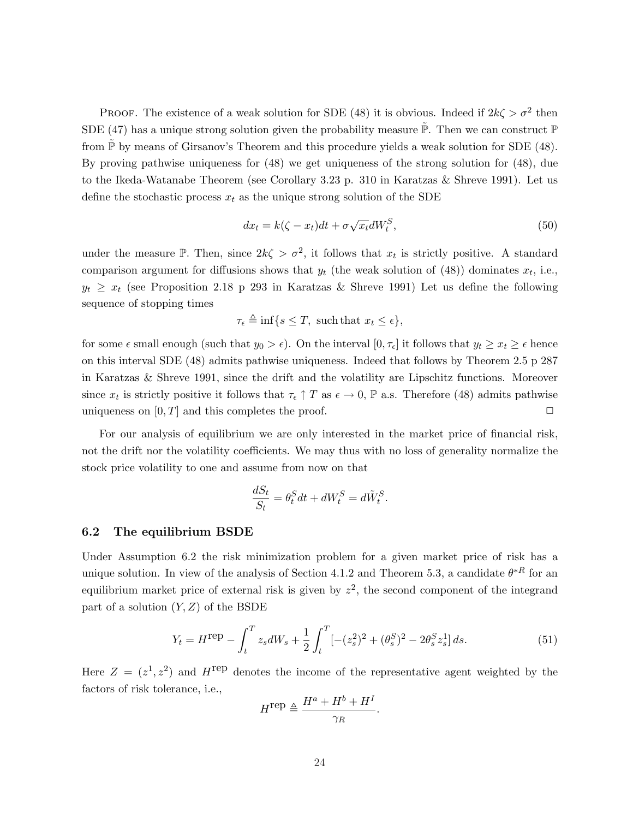PROOF. The existence of a weak solution for SDE (48) it is obvious. Indeed if  $2k\zeta > \sigma^2$  then SDE (47) has a unique strong solution given the probability measure  $\tilde{\mathbb{P}}$ . Then we can construct  $\mathbb{P}$ from  $\mathbb P$  by means of Girsanov's Theorem and this procedure yields a weak solution for SDE (48). By proving pathwise uniqueness for (48) we get uniqueness of the strong solution for (48), due to the Ikeda-Watanabe Theorem (see Corollary 3.23 p. 310 in Karatzas & Shreve 1991). Let us define the stochastic process  $x_t$  as the unique strong solution of the SDE

$$
dx_t = k(\zeta - x_t)dt + \sigma \sqrt{x_t}dW_t^S,
$$
\n(50)

under the measure P. Then, since  $2k\zeta > \sigma^2$ , it follows that  $x_t$  is strictly positive. A standard comparison argument for diffusions shows that  $y_t$  (the weak solution of (48)) dominates  $x_t$ , i.e.,  $y_t \geq x_t$  (see Proposition 2.18 p 293 in Karatzas & Shreve 1991) Let us define the following sequence of stopping times

$$
\tau_{\epsilon} \triangleq \inf \{ s \leq T, \text{ such that } x_t \leq \epsilon \},
$$

for some  $\epsilon$  small enough (such that  $y_0 > \epsilon$ ). On the interval  $[0, \tau_{\epsilon}]$  it follows that  $y_t \geq x_t \geq \epsilon$  hence on this interval SDE (48) admits pathwise uniqueness. Indeed that follows by Theorem 2.5 p 287 in Karatzas & Shreve 1991, since the drift and the volatility are Lipschitz functions. Moreover since  $x_t$  is strictly positive it follows that  $\tau_{\epsilon} \uparrow T$  as  $\epsilon \to 0$ , P a.s. Therefore (48) admits pathwise uniqueness on  $[0, T]$  and this completes the proof.  $\Box$ 

For our analysis of equilibrium we are only interested in the market price of financial risk, not the drift nor the volatility coefficients. We may thus with no loss of generality normalize the stock price volatility to one and assume from now on that

$$
\frac{dS_t}{S_t} = \theta_t^S dt + dW_t^S = d\tilde{W}_t^S.
$$

#### 6.2 The equilibrium BSDE

Under Assumption 6.2 the risk minimization problem for a given market price of risk has a unique solution. In view of the analysis of Section 4.1.2 and Theorem 5.3, a candidate  $\theta^{*R}$  for an equilibrium market price of external risk is given by  $z^2$ , the second component of the integrand part of a solution  $(Y, Z)$  of the BSDE

$$
Y_t = H^{\text{rep}} - \int_t^T z_s dW_s + \frac{1}{2} \int_t^T \left[ -(z_s^2)^2 + (\theta_s^S)^2 - 2\theta_s^S z_s^1 \right] ds. \tag{51}
$$

Here  $Z = (z^1, z^2)$  and  $H^{\text{rep}}$  denotes the income of the representative agent weighted by the factors of risk tolerance, i.e.,

$$
H^{\text{rep}} \triangleq \frac{H^a + H^b + H^I}{\gamma_R}.
$$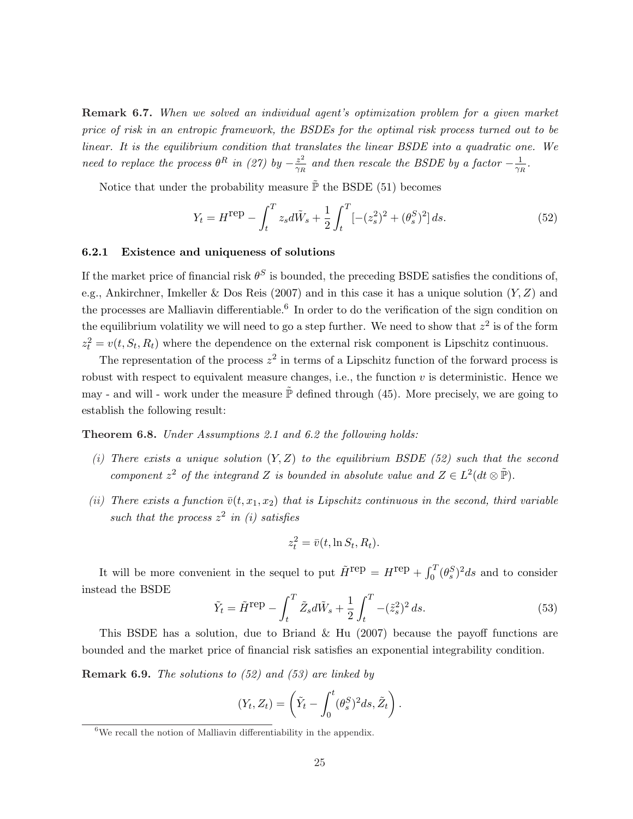Remark 6.7. When we solved an individual agent's optimization problem for a given market price of risk in an entropic framework, the BSDEs for the optimal risk process turned out to be linear. It is the equilibrium condition that translates the linear BSDE into a quadratic one. We need to replace the process  $\theta^R$  in (27) by  $-\frac{z^2}{\gamma R}$  $\frac{z^2}{\gamma_R}$  and then rescale the BSDE by a factor  $-\frac{1}{\gamma_R}$  $\frac{1}{\gamma_R}$  .

Notice that under the probability measure  $\tilde{\mathbb{P}}$  the BSDE (51) becomes

$$
Y_t = H^{\text{rep}} - \int_t^T z_s d\tilde{W}_s + \frac{1}{2} \int_t^T \left[ -(z_s^2)^2 + (\theta_s^S)^2 \right] ds. \tag{52}
$$

#### 6.2.1 Existence and uniqueness of solutions

If the market price of financial risk  $\theta^S$  is bounded, the preceding BSDE satisfies the conditions of, e.g., Ankirchner, Imkeller & Dos Reis (2007) and in this case it has a unique solution  $(Y, Z)$  and the processes are Malliavin differentiable.<sup>6</sup> In order to do the verification of the sign condition on the equilibrium volatility we will need to go a step further. We need to show that  $z^2$  is of the form  $z_t^2 = v(t, S_t, R_t)$  where the dependence on the external risk component is Lipschitz continuous.

The representation of the process  $z^2$  in terms of a Lipschitz function of the forward process is robust with respect to equivalent measure changes, i.e., the function  $v$  is deterministic. Hence we may - and will - work under the measure  $\tilde{\mathbb{P}}$  defined through (45). More precisely, we are going to establish the following result:

Theorem 6.8. Under Assumptions 2.1 and 6.2 the following holds:

- (i) There exists a unique solution  $(Y, Z)$  to the equilibrium BSDE (52) such that the second component  $z^2$  of the integrand Z is bounded in absolute value and  $Z \in L^2(dt \otimes \tilde{P})$ .
- (ii) There exists a function  $\bar{v}(t, x_1, x_2)$  that is Lipschitz continuous in the second, third variable such that the process  $z^2$  in (i) satisfies

$$
z_t^2 = \bar{v}(t, \ln S_t, R_t).
$$

It will be more convenient in the sequel to put  $\tilde{H}^{\text{rep}} = H^{\text{rep}} + \int_0^T$  $\int_0^T (\theta_s^S)^2 ds$  and to consider instead the BSDE

$$
\tilde{Y}_t = \tilde{H}^{\text{rep}} - \int_t^T \tilde{Z}_s d\tilde{W}_s + \frac{1}{2} \int_t^T -(\tilde{z}_s^2)^2 ds.
$$
\n(53)

This BSDE has a solution, due to Briand & Hu (2007) because the payoff functions are bounded and the market price of financial risk satisfies an exponential integrability condition.

Remark 6.9. The solutions to (52) and (53) are linked by

$$
(Y_t, Z_t) = \left(\tilde{Y}_t - \int_0^t (\theta_s^S)^2 ds, \tilde{Z}_t\right).
$$

 ${}^{6}$ We recall the notion of Malliavin differentiability in the appendix.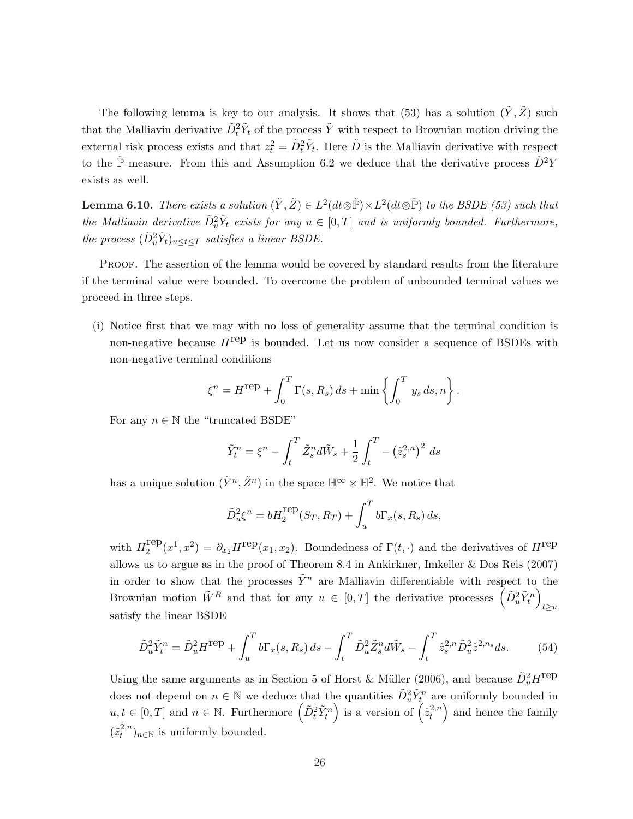The following lemma is key to our analysis. It shows that (53) has a solution  $(\tilde{Y}, \tilde{Z})$  such that the Malliavin derivative  $\tilde{D}_t^2 \tilde{Y}_t$  of the process  $\tilde{Y}$  with respect to Brownian motion driving the external risk process exists and that  $z_t^2 = \tilde{D}_t^2 \tilde{Y}_t$ . Here  $\tilde{D}$  is the Malliavin derivative with respect to the  $\tilde{\mathbb{P}}$  measure. From this and Assumption 6.2 we deduce that the derivative process  $\tilde{D}^2 Y$ exists as well.

**Lemma 6.10.** There exists a solution  $(\tilde{Y}, \tilde{Z}) \in L^2(dt \otimes \tilde{\mathbb{P}}) \times L^2(dt \otimes \tilde{\mathbb{P}})$  to the BSDE (53) such that the Malliavin derivative  $\tilde{D}_u^2 \tilde{Y}_t$  exists for any  $u \in [0,T]$  and is uniformly bounded. Furthermore, the process  $(\tilde{D}_u^2 \tilde{Y}_t)_{u \leq t \leq T}$  satisfies a linear BSDE.

PROOF. The assertion of the lemma would be covered by standard results from the literature if the terminal value were bounded. To overcome the problem of unbounded terminal values we proceed in three steps.

(i) Notice first that we may with no loss of generality assume that the terminal condition is non-negative because  $H^{\text{rep}}$  is bounded. Let us now consider a sequence of BSDEs with non-negative terminal conditions

$$
\xi^{n} = H^{\text{rep}} + \int_{0}^{T} \Gamma(s, R_{s}) ds + \min \left\{ \int_{0}^{T} y_{s} ds, n \right\}.
$$

For any  $n \in \mathbb{N}$  the "truncated BSDE"

$$
\tilde{Y}_t^n = \xi^n - \int_t^T \tilde{Z}_s^n d\tilde{W}_s + \frac{1}{2} \int_t^T - (\tilde{z}_s^{2,n})^2 ds
$$

has a unique solution  $(\tilde{Y}^n, \tilde{Z}^n)$  in the space  $\mathbb{H}^{\infty} \times \mathbb{H}^2$ . We notice that

$$
\tilde{D}_u^2 \xi^n = bH_2^{\text{rep}}(S_T, R_T) + \int_u^T b\Gamma_x(s, R_s) ds,
$$

with  $H_2^{\text{rep}}$  $L_2^{\text{rep}}(x^1, x^2) = \partial_{x_2} H^{\text{rep}}(x_1, x_2)$ . Boundedness of  $\Gamma(t, \cdot)$  and the derivatives of  $H^{\text{rep}}$ allows us to argue as in the proof of Theorem 8.4 in Ankirkner, Imkeller & Dos Reis (2007) in order to show that the processes  $\tilde{Y}^n$  are Malliavin differentiable with respect to the In order to show that the processes  $Y^*$  are Malliavin differentiable with respect to<br>Brownian motion  $\tilde{W}^R$  and that for any  $u \in [0,T]$  the derivative processes  $\left( \tilde{D}_u^2 \tilde{Y}_t^n \right)$ ´  $t \geq u$ satisfy the linear BSDE

$$
\tilde{D}_u^2 \tilde{Y}_t^n = \tilde{D}_u^2 H^{\text{rep}} + \int_u^T b \Gamma_x(s, R_s) \, ds - \int_t^T \tilde{D}_u^2 \tilde{Z}_s^n d\tilde{W}_s - \int_t^T \tilde{z}_s^{2, n} \tilde{D}_u^2 \tilde{z}^{2, n_s} ds. \tag{54}
$$

Using the same arguments as in Section 5 of Horst & Müller (2006), and because  $\tilde{D}_u^2 H^{\text{rep}}$ does not depend on  $n \in \mathbb{N}$  we deduce that the quantities  $\tilde{D}_u^2 \tilde{Y}_t^n$  are uniformly bounded in does not depend on  $n \in \mathbb{N}$  we deduce that the quantities  $D_u^T Y_t^T$  are  $u, t \in [0, T]$  and  $n \in \mathbb{N}$ . Furthermore  $\left( \tilde{D}_t^2 \tilde{Y}_t^n \right)$  is a version of  $\left( \tilde{z}_t^{2,n} \right)$  $\binom{2,n}{t}$  and hence the family  $(\tilde{z}_t^{2,n})$  $\binom{2,n}{t}$ <sub>n∈N</sub> is uniformly bounded.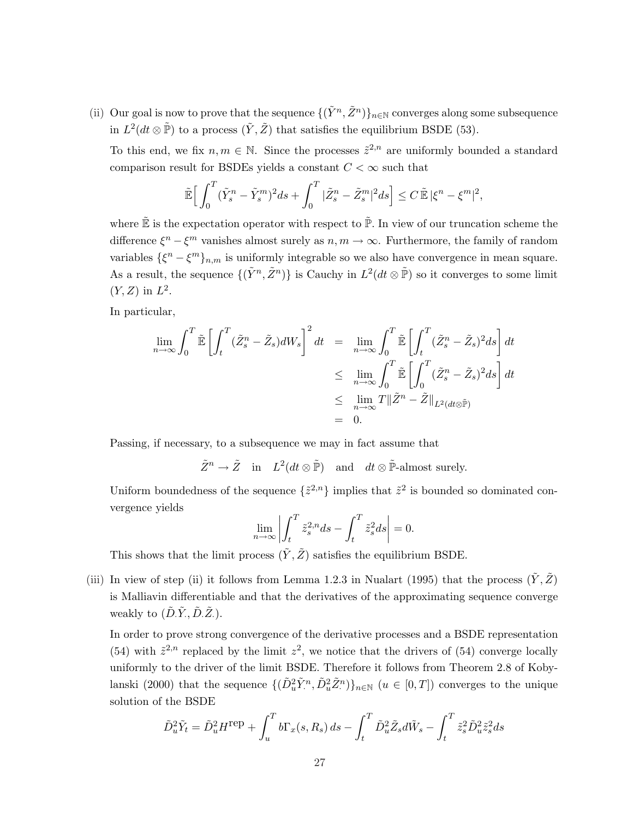(ii) Our goal is now to prove that the sequence  $\{(\tilde{Y}^n, \tilde{Z}^n)\}_{n\in\mathbb{N}}$  converges along some subsequence in  $L^2(dt \otimes \tilde{\mathbb{P}})$  to a process  $(\tilde{Y}, \tilde{Z})$  that satisfies the equilibrium BSDE (53).

To this end, we fix  $n, m \in \mathbb{N}$ . Since the processes  $\tilde{z}^{2,n}$  are uniformly bounded a standard comparison result for BSDEs yields a constant  $C < \infty$  such that

$$
\tilde{\mathbb{E}}\Big[\int_0^T(\tilde{Y}_s^n-\tilde{Y}_s^m)^2ds+\int_0^T|\tilde{Z}_s^n-\tilde{Z}_s^m|^2ds\Big]\leq C\,\tilde{\mathbb{E}}\,|\xi^n-\xi^m|^2,
$$

where  $\tilde{\mathbb{E}}$  is the expectation operator with respect to  $\tilde{\mathbb{P}}$ . In view of our truncation scheme the difference  $\xi^{n} - \xi^{m}$  vanishes almost surely as  $n, m \to \infty$ . Furthermore, the family of random variables  $\{\xi^n - \xi^m\}_{n,m}$  is uniformly integrable so we also have convergence in mean square. As a result, the sequence  $\{(\tilde{Y}^n, \tilde{Z}^n)\}\$ is Cauchy in  $L^2(dt \otimes \tilde{\mathbb{P}})$  so it converges to some limit  $(Y, Z)$  in  $L^2$ .

In particular,

$$
\lim_{n \to \infty} \int_0^T \tilde{\mathbb{E}} \left[ \int_t^T (\tilde{Z}_s^n - \tilde{Z}_s) dW_s \right]^2 dt = \lim_{n \to \infty} \int_0^T \tilde{\mathbb{E}} \left[ \int_t^T (\tilde{Z}_s^n - \tilde{Z}_s)^2 ds \right] dt
$$
\n
$$
\leq \lim_{n \to \infty} \int_0^T \tilde{\mathbb{E}} \left[ \int_0^T (\tilde{Z}_s^n - \tilde{Z}_s)^2 ds \right] dt
$$
\n
$$
\leq \lim_{n \to \infty} T \|\tilde{Z}^n - \tilde{Z}\|_{L^2(dt \otimes \tilde{\mathbb{P}})}
$$
\n= 0.

Passing, if necessary, to a subsequence we may in fact assume that

$$
\tilde{Z}^n \to \tilde{Z}
$$
 in  $L^2(dt \otimes \tilde{\mathbb{P}})$  and  $dt \otimes \tilde{\mathbb{P}}$ -almost surely.

Uniform boundedness of the sequence  $\{\tilde{z}^{2,n}\}\$ implies that  $\tilde{z}^2$  is bounded so dominated convergence yields  $\overline{a}$  $\overline{a}$ 

$$
\lim_{n \to \infty} \left| \int_t^T \tilde{z}_s^{2,n} ds - \int_t^T \tilde{z}_s^2 ds \right| = 0.
$$

This shows that the limit process  $(Y, Z)$  satisfies the equilibrium BSDE.

(iii) In view of step (ii) it follows from Lemma 1.2.3 in Nualart (1995) that the process  $(\tilde{Y}, \tilde{Z})$ is Malliavin differentiable and that the derivatives of the approximating sequence converge weakly to  $(\tilde{D}.\tilde{Y}, \tilde{D}.\tilde{Z})$ .

In order to prove strong convergence of the derivative processes and a BSDE representation (54) with  $\tilde{z}^{2,n}$  replaced by the limit  $z^2$ , we notice that the drivers of (54) converge locally uniformly to the driver of the limit BSDE. Therefore it follows from Theorem 2.8 of Kobylanski (2000) that the sequence  $\{(\tilde{D}_u^2 \tilde{Y}_i^n, \tilde{D}_u^2 \tilde{Z}_i^n)\}_{n \in \mathbb{N}}$   $(u \in [0, T])$  converges to the unique solution of the BSDE

$$
\tilde{D}_u^2 \tilde{Y}_t = \tilde{D}_u^2 H^{\text{rep}} + \int_u^T b \Gamma_x(s, R_s) ds - \int_t^T \tilde{D}_u^2 \tilde{Z}_s d\tilde{W}_s - \int_t^T \tilde{z}_s^2 \tilde{D}_u^2 \tilde{z}_s^2 ds
$$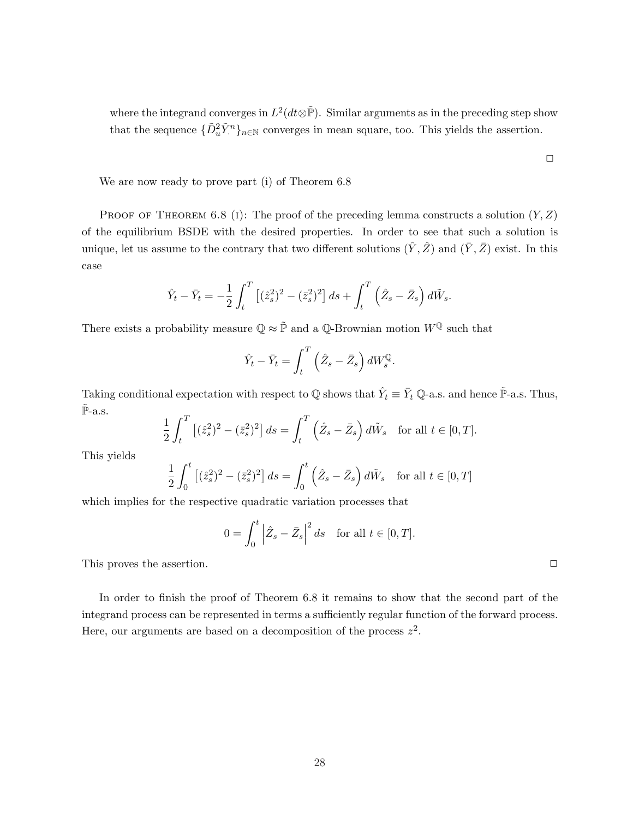where the integrand converges in  $L^2(dt\otimes\tilde{P})$ . Similar arguments as in the preceding step show that the sequence  $\{\tilde{D}_u^2 \tilde{Y}_n^n\}_{n \in \mathbb{N}}$  converges in mean square, too. This yields the assertion.

We are now ready to prove part (i) of Theorem 6.8

PROOF OF THEOREM 6.8 (1): The proof of the preceding lemma constructs a solution  $(Y, Z)$ of the equilibrium BSDE with the desired properties. In order to see that such a solution is unique, let us assume to the contrary that two different solutions  $(\hat{Y}, \hat{Z})$  and  $(\bar{Y}, \bar{Z})$  exist. In this case

$$
\hat{Y}_t - \bar{Y}_t = -\frac{1}{2} \int_t^T \left[ (\hat{z}_s^2)^2 - (\bar{z}_s^2)^2 \right] ds + \int_t^T \left( \hat{Z}_s - \bar{Z}_s \right) d\tilde{W}_s.
$$

There exists a probability measure  $\mathbb{Q} \approx \tilde{\mathbb{P}}$  and a  $\mathbb{Q}\text{-Brownian motion } W^{\mathbb{Q}}$  such that

$$
\hat{Y}_t - \bar{Y}_t = \int_t^T \left(\hat{Z}_s - \bar{Z}_s\right) dW_s^{\mathbb{Q}}.
$$

Taking conditional expectation with respect to  $\mathbb Q$  shows that  $\hat{Y}_t \equiv \bar{Y}_t \mathbb Q$ -a.s. and hence  $\tilde{\mathbb P}$ -a.s. Thus,  $\tilde{\mathbb{P}}$ -a.s.  $\mathcal{L}$  $\mathcal{L}$ 

$$
\frac{1}{2} \int_t^T \left[ (\hat{z}_s^2)^2 - (\bar{z}_s^2)^2 \right] ds = \int_t^T \left( \hat{Z}_s - \bar{Z}_s \right) d\tilde{W}_s \quad \text{for all } t \in [0, T].
$$

This yields

$$
\frac{1}{2} \int_0^t \left[ (\hat{z}_s^2)^2 - (\bar{z}_s^2)^2 \right] ds = \int_0^t \left( \hat{Z}_s - \bar{Z}_s \right) d\tilde{W}_s \quad \text{for all } t \in [0, T]
$$

which implies for the respective quadratic variation processes that

$$
0 = \int_0^t \left| \hat{Z}_s - \bar{Z}_s \right|^2 ds \quad \text{for all } t \in [0, T].
$$

This proves the assertion.  $\Box$ 

In order to finish the proof of Theorem 6.8 it remains to show that the second part of the integrand process can be represented in terms a sufficiently regular function of the forward process. Here, our arguments are based on a decomposition of the process  $z^2$ .

 $\Box$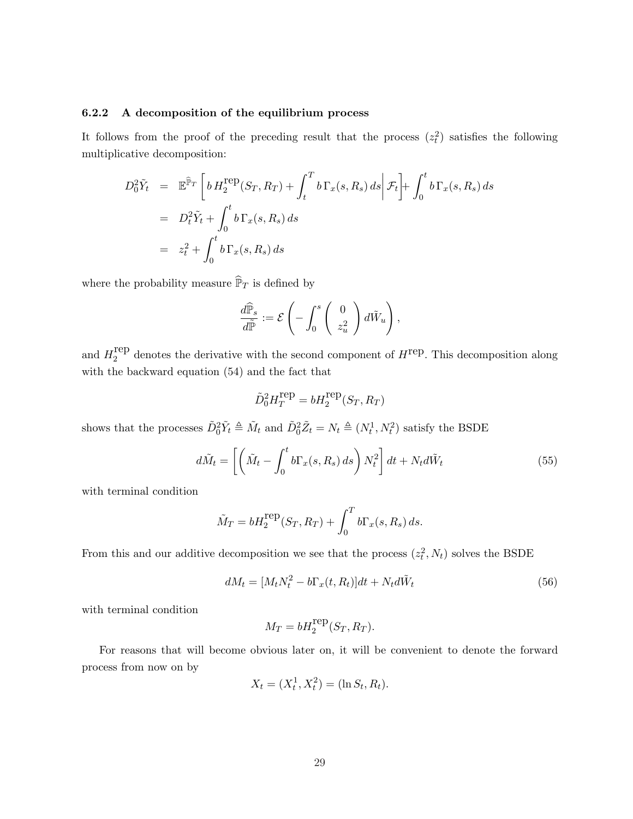## 6.2.2 A decomposition of the equilibrium process

It follows from the proof of the preceding result that the process  $(z<sub>t</sub><sup>2</sup>)$  satisfies the following multiplicative decomposition:

$$
D_0^2 \tilde{Y}_t = \mathbb{E}^{\widehat{\mathbb{P}}_T} \left[ b H_2^{\text{rep}}(S_T, R_T) + \int_t^T b \Gamma_x(s, R_s) ds \middle| \mathcal{F}_t \right] + \int_0^t b \Gamma_x(s, R_s) ds
$$
  
= 
$$
D_t^2 \tilde{Y}_t + \int_0^t b \Gamma_x(s, R_s) ds
$$
  
= 
$$
z_t^2 + \int_0^t b \Gamma_x(s, R_s) ds
$$

where the probability measure  $\widehat{\mathbb{P}}_T$  is defined by

$$
\frac{d\widehat{\mathbb{P}}_s}{d\widetilde{\mathbb{P}}} := \mathcal{E}\left(-\int_0^s \left(\begin{array}{c} 0 \\ z_u^2 \end{array}\right) d\tilde{W}_u\right),
$$

and  $H_2^{\text{rep}}$  $_2^{\text{rep}}$  denotes the derivative with the second component of  $H^{\text{rep}}$ . This decomposition along with the backward equation (54) and the fact that

$$
\tilde{D}_0^2 H_T^{\text{rep}} = b H_2^{\text{rep}}(S_T,R_T)
$$

shows that the processes  $\tilde{D}_0^2 \tilde{Y}_t \triangleq \tilde{M}_t$  and  $\tilde{D}_0^2 \tilde{Z}_t = N_t \triangleq (N_t^1, N_t^2)$  satisfy the BSDE

$$
d\tilde{M}_t = \left[ \left( \tilde{M}_t - \int_0^t b \Gamma_x(s, R_s) \, ds \right) N_t^2 \right] dt + N_t d\tilde{W}_t \tag{55}
$$

with terminal condition

$$
\tilde{M}_T = bH_2^{\text{rep}}(S_T, R_T) + \int_0^T b\Gamma_x(s, R_s) ds.
$$

From this and our additive decomposition we see that the process  $(z_t^2, N_t)$  solves the BSDE

$$
dM_t = [M_t N_t^2 - b\Gamma_x(t, R_t)]dt + N_t d\tilde{W}_t
$$
\n(56)

with terminal condition

$$
M_T = bH_2^{\text{rep}}(S_T, R_T).
$$

For reasons that will become obvious later on, it will be convenient to denote the forward process from now on by

$$
X_t = (X_t^1, X_t^2) = (\ln S_t, R_t).
$$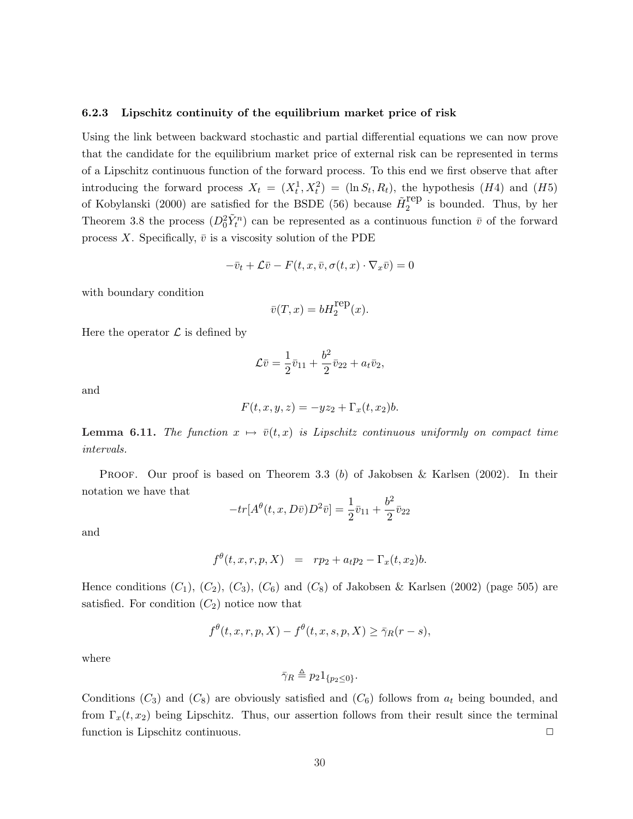#### 6.2.3 Lipschitz continuity of the equilibrium market price of risk

Using the link between backward stochastic and partial differential equations we can now prove that the candidate for the equilibrium market price of external risk can be represented in terms of a Lipschitz continuous function of the forward process. To this end we first observe that after introducing the forward process  $X_t = (X_t^1, X_t^2) = (\ln S_t, R_t)$ , the hypothesis (H4) and (H5) of Kobylanski (2000) are satisfied for the BSDE (56) because  $\tilde{H}_2^{\text{rep}}$  $i<sub>2</sub><sup>1</sup>$ ep is bounded. Thus, by her Theorem 3.8 the process  $(D_0^2 \tilde{Y}_t^n)$  can be represented as a continuous function  $\bar{v}$  of the forward process X. Specifically,  $\bar{v}$  is a viscosity solution of the PDE

$$
-\bar{v}_t + \mathcal{L}\bar{v} - F(t, x, \bar{v}, \sigma(t, x) \cdot \nabla_x \bar{v}) = 0
$$

with boundary condition

$$
\bar{v}(T, x) = bH_2^{\text{rep}}(x).
$$

Here the operator  $\mathcal L$  is defined by

$$
\mathcal{L}\bar{v} = \frac{1}{2}\bar{v}_{11} + \frac{b^2}{2}\bar{v}_{22} + a_t\bar{v}_2,
$$

and

$$
F(t, x, y, z) = -yz_2 + \Gamma_x(t, x_2)b.
$$

**Lemma 6.11.** The function  $x \mapsto \bar{v}(t, x)$  is Lipschitz continuous uniformly on compact time intervals.

**PROOF.** Our proof is based on Theorem 3.3 (b) of Jakobsen & Karlsen (2002). In their notation we have that

$$
-tr[A^{\theta}(t, x, D\bar{v})D^2\bar{v}] = \frac{1}{2}\bar{v}_{11} + \frac{b^2}{2}\bar{v}_{22}
$$

and

$$
f^{\theta}(t, x, r, p, X) = rp_2 + a_t p_2 - \Gamma_x(t, x_2)b.
$$

Hence conditions  $(C_1)$ ,  $(C_2)$ ,  $(C_3)$ ,  $(C_6)$  and  $(C_8)$  of Jakobsen & Karlsen (2002) (page 505) are satisfied. For condition  $(C_2)$  notice now that

$$
f^{\theta}(t, x, r, p, X) - f^{\theta}(t, x, s, p, X) \ge \overline{\gamma}_R(r - s),
$$

where

$$
\bar{\gamma}_R \triangleq p_2 1_{\{p_2 \le 0\}}.
$$

Conditions  $(C_3)$  and  $(C_8)$  are obviously satisfied and  $(C_6)$  follows from  $a_t$  being bounded, and from  $\Gamma_x(t, x_2)$  being Lipschitz. Thus, our assertion follows from their result since the terminal function is Lipschitz continuous.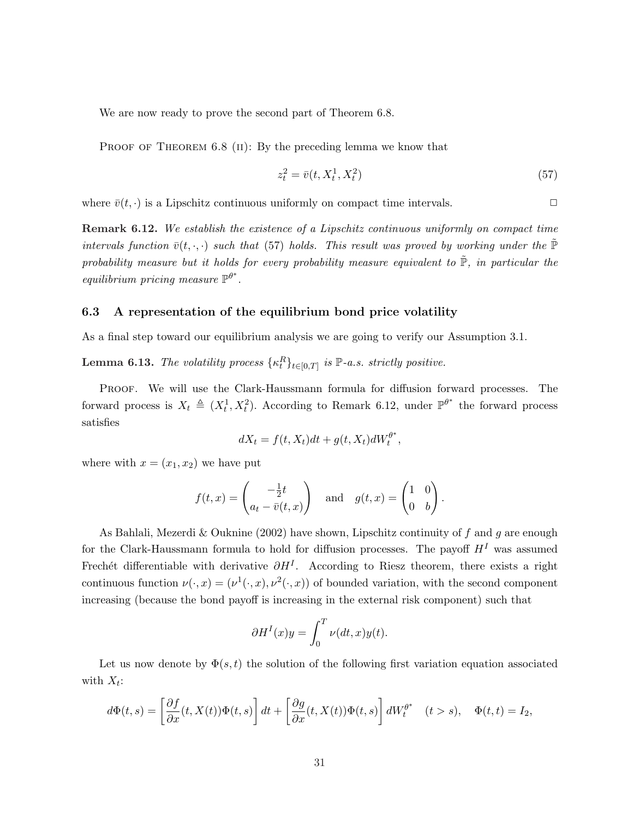We are now ready to prove the second part of Theorem 6.8.

PROOF OF THEOREM 6.8 (II): By the preceding lemma we know that

$$
z_t^2 = \bar{v}(t, X_t^1, X_t^2) \tag{57}
$$

where  $\bar{v}(t, \cdot)$  is a Lipschitz continuous uniformly on compact time intervals.

Remark 6.12. We establish the existence of a Lipschitz continuous uniformly on compact time intervals function  $\bar{v}(t, \cdot, \cdot)$  such that (57) holds. This result was proved by working under the  $\tilde{\mathbb{P}}$ probability measure but it holds for every probability measure equivalent to  $\tilde{P}$ , in particular the equilibrium pricing measure  $\mathbb{P}^{\theta^*}$ .

#### 6.3 A representation of the equilibrium bond price volatility

As a final step toward our equilibrium analysis we are going to verify our Assumption 3.1.

**Lemma 6.13.** The volatility process  $\{\kappa_t^R\}_{t\in[0,T]}$  is  $\mathbb{P}\text{-}a.s.$  strictly positive.

PROOF. We will use the Clark-Haussmann formula for diffusion forward processes. The forward process is  $X_t \triangleq (X_t^1, X_t^2)$ . According to Remark 6.12, under  $\mathbb{P}^{\theta^*}$  the forward process satisfies

$$
dX_t = f(t, X_t)dt + g(t, X_t)dW_t^{\theta^*},
$$

where with  $x = (x_1, x_2)$  we have put

$$
f(t,x) = \begin{pmatrix} -\frac{1}{2}t \\ a_t - \overline{v}(t,x) \end{pmatrix} \text{ and } g(t,x) = \begin{pmatrix} 1 & 0 \\ 0 & b \end{pmatrix}.
$$

As Bahlali, Mezerdi & Ouknine (2002) have shown, Lipschitz continuity of f and g are enough for the Clark-Haussmann formula to hold for diffusion processes. The payoff  $H<sup>I</sup>$  was assumed Frechét differentiable with derivative  $\partial H^I$ . According to Riesz theorem, there exists a right continuous function  $\nu(\cdot, x) = (\nu^1(\cdot, x), \nu^2(\cdot, x))$  of bounded variation, with the second component increasing (because the bond payoff is increasing in the external risk component) such that

$$
\partial H^{I}(x)y = \int_{0}^{T} \nu(dt, x)y(t).
$$

Let us now denote by  $\Phi(s,t)$  the solution of the following first variation equation associated with  $X_t$ :

$$
d\Phi(t,s) = \left[\frac{\partial f}{\partial x}(t,X(t))\Phi(t,s)\right]dt + \left[\frac{\partial g}{\partial x}(t,X(t))\Phi(t,s)\right]dW_t^{\theta^*} \quad (t>s), \quad \Phi(t,t) = I_2,
$$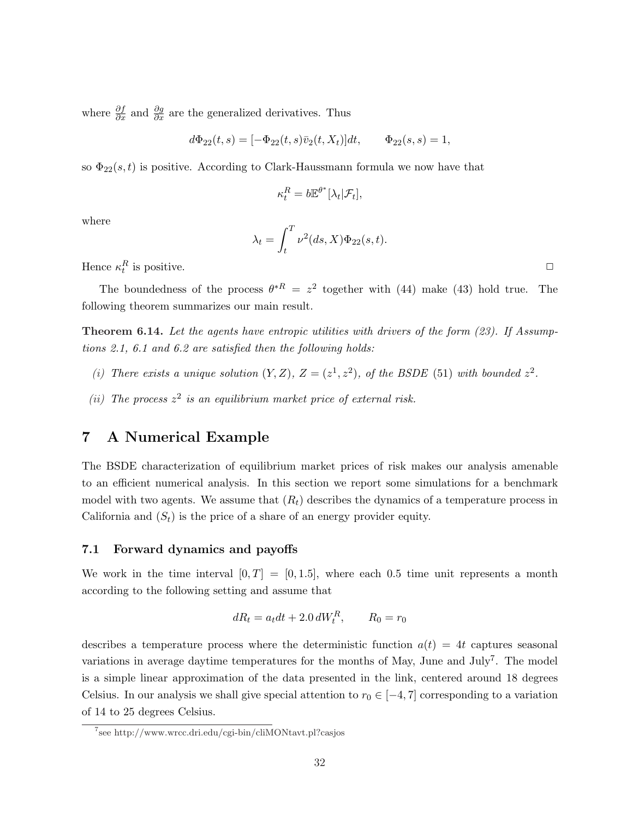where  $\frac{\partial f}{\partial x}$  and  $\frac{\partial g}{\partial x}$  are the generalized derivatives. Thus

$$
d\Phi_{22}(t,s) = [-\Phi_{22}(t,s)\bar{v}_2(t,X_t)]dt, \qquad \Phi_{22}(s,s) = 1,
$$

so  $\Phi_{22}(s,t)$  is positive. According to Clark-Haussmann formula we now have that

$$
\kappa_t^R = b \mathbb{E}^{\theta^*}[\lambda_t | \mathcal{F}_t],
$$

where

$$
\lambda_t = \int_t^T \nu^2(ds, X)\Phi_{22}(s, t).
$$

Hence  $\kappa_t^R$  is positive.

The boundedness of the process  $\theta^{*R} = z^2$  together with (44) make (43) hold true. The following theorem summarizes our main result.

**Theorem 6.14.** Let the agents have entropic utilities with drivers of the form  $(23)$ . If Assumptions 2.1, 6.1 and 6.2 are satisfied then the following holds:

- (i) There exists a unique solution  $(Y, Z)$ ,  $Z = (z^1, z^2)$ , of the BSDE (51) with bounded  $z^2$ .
- (ii) The process  $z^2$  is an equilibrium market price of external risk.

# 7 A Numerical Example

The BSDE characterization of equilibrium market prices of risk makes our analysis amenable to an efficient numerical analysis. In this section we report some simulations for a benchmark model with two agents. We assume that  $(R_t)$  describes the dynamics of a temperature process in California and  $(S_t)$  is the price of a share of an energy provider equity.

## 7.1 Forward dynamics and payoffs

We work in the time interval  $[0, T] = [0, 1.5]$ , where each 0.5 time unit represents a month according to the following setting and assume that

$$
dR_t = a_t dt + 2.0 dW_t^R, \qquad R_0 = r_0
$$

describes a temperature process where the deterministic function  $a(t) = 4t$  captures seasonal variations in average daytime temperatures for the months of May, June and July<sup>7</sup>. The model is a simple linear approximation of the data presented in the link, centered around 18 degrees Celsius. In our analysis we shall give special attention to  $r_0 \in [-4, 7]$  corresponding to a variation of 14 to 25 degrees Celsius.

<sup>7</sup> see http://www.wrcc.dri.edu/cgi-bin/cliMONtavt.pl?casjos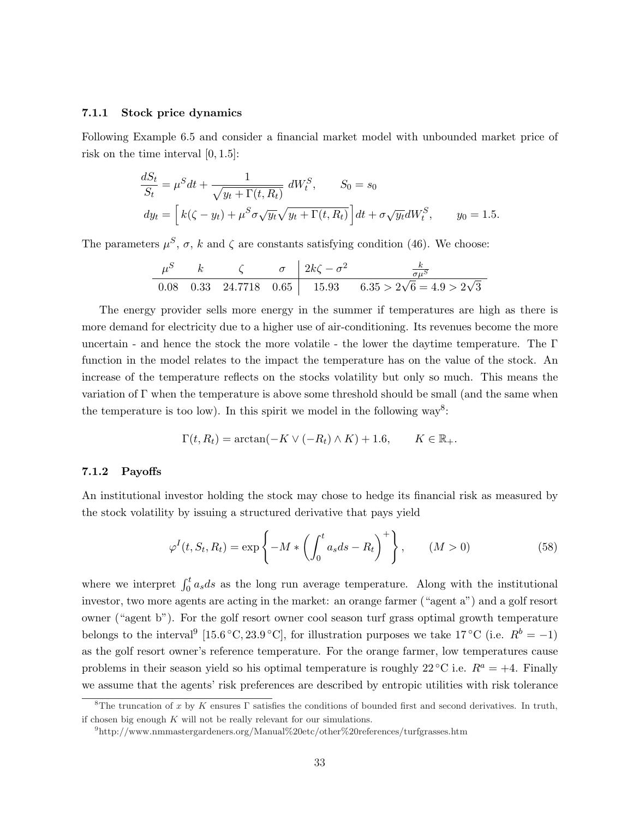## 7.1.1 Stock price dynamics

Following Example 6.5 and consider a financial market model with unbounded market price of risk on the time interval  $[0, 1.5]$ :

$$
\frac{dS_t}{S_t} = \mu^S dt + \frac{1}{\sqrt{y_t + \Gamma(t, R_t)}} dW_t^S, \qquad S_0 = s_0
$$
  

$$
dy_t = \left[ k(\zeta - y_t) + \mu^S \sigma \sqrt{y_t} \sqrt{y_t + \Gamma(t, R_t)} \right] dt + \sigma \sqrt{y_t} dW_t^S, \qquad y_0 = 1.5.
$$

The parameters  $\mu^S$ ,  $\sigma$ , k and  $\zeta$  are constants satisfying condition (46). We choose:

$$
\begin{array}{c|ccccc}\n\mu^S & k & \zeta & \sigma & 2k\zeta - \sigma^2 & \frac{k}{\sigma\mu^S} \\
\hline\n0.08 & 0.33 & 24.7718 & 0.65 & 15.93 & 6.35 > 2\sqrt{6} = 4.9 > 2\sqrt{3}\n\end{array}
$$

The energy provider sells more energy in the summer if temperatures are high as there is more demand for electricity due to a higher use of air-conditioning. Its revenues become the more uncertain - and hence the stock the more volatile - the lower the daytime temperature. The Γ function in the model relates to the impact the temperature has on the value of the stock. An increase of the temperature reflects on the stocks volatility but only so much. This means the variation of Γ when the temperature is above some threshold should be small (and the same when the temperature is too low). In this spirit we model in the following  $way^8$ :

$$
\Gamma(t, R_t) = \arctan(-K \vee (-R_t) \wedge K) + 1.6, \qquad K \in \mathbb{R}_+.
$$

#### 7.1.2 Payoffs

An institutional investor holding the stock may chose to hedge its financial risk as measured by the stock volatility by issuing a structured derivative that pays yield

$$
\varphi^I(t, S_t, R_t) = \exp\left\{-M * \left(\int_0^t a_s ds - R_t\right)^+\right\}, \qquad (M > 0)
$$
\n(58)

where we interpret  $\int_0^t a_s ds$  as the long run average temperature. Along with the institutional investor, two more agents are acting in the market: an orange farmer ("agent a") and a golf resort owner ("agent b"). For the golf resort owner cool season turf grass optimal growth temperature belongs to the interval<sup>9</sup> [15.6 °C, 23.9 °C], for illustration purposes we take 17 °C (i.e.  $R^b = -1$ ) as the golf resort owner's reference temperature. For the orange farmer, low temperatures cause problems in their season yield so his optimal temperature is roughly 22 °C i.e.  $R^a = +4$ . Finally we assume that the agents' risk preferences are described by entropic utilities with risk tolerance

<sup>&</sup>lt;sup>8</sup>The truncation of x by K ensures Γ satisfies the conditions of bounded first and second derivatives. In truth, if chosen big enough  $K$  will not be really relevant for our simulations.

 $^{9}$ http://www.nmmastergardeners.org/Manual%20etc/other%20references/turfgrasses.htm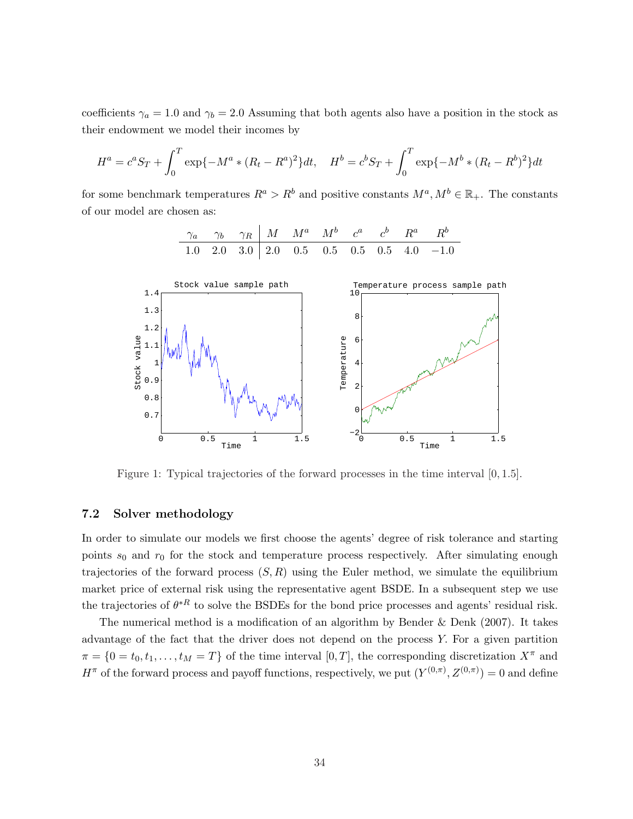coefficients  $\gamma_a = 1.0$  and  $\gamma_b = 2.0$  Assuming that both agents also have a position in the stock as their endowment we model their incomes by

$$
H^{a} = c^{a}S_{T} + \int_{0}^{T} \exp\{-M^{a} * (R_{t} - R^{a})^{2}\}dt, \quad H^{b} = c^{b}S_{T} + \int_{0}^{T} \exp\{-M^{b} * (R_{t} - R^{b})^{2}\}dt
$$

for some benchmark temperatures  $R^a > R^b$  and positive constants  $M^a, M^b \in \mathbb{R}_+$ . The constants of our model are chosen as:



Figure 1: Typical trajectories of the forward processes in the time interval [0, 1.5].

## 7.2 Solver methodology

In order to simulate our models we first choose the agents' degree of risk tolerance and starting points  $s_0$  and  $r_0$  for the stock and temperature process respectively. After simulating enough trajectories of the forward process  $(S, R)$  using the Euler method, we simulate the equilibrium market price of external risk using the representative agent BSDE. In a subsequent step we use the trajectories of  $\theta^{*R}$  to solve the BSDEs for the bond price processes and agents' residual risk.

The numerical method is a modification of an algorithm by Bender  $&$  Denk (2007). It takes advantage of the fact that the driver does not depend on the process Y. For a given partition  $\pi = \{0 = t_0, t_1, \ldots, t_M = T\}$  of the time interval  $[0, T]$ , the corresponding discretization  $X^{\pi}$  and  $H^{\pi}$  of the forward process and payoff functions, respectively, we put  $(Y^{(0,\pi)}, Z^{(0,\pi)}) = 0$  and define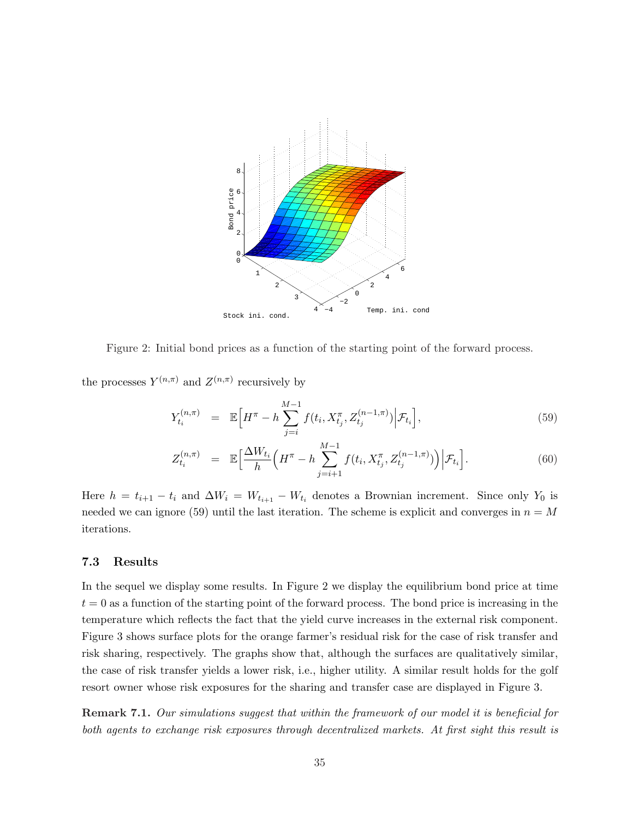

Figure 2: Initial bond prices as a function of the starting point of the forward process.

the processes  $Y^{(n,\pi)}$  and  $Z^{(n,\pi)}$  recursively by

$$
Y_{t_i}^{(n,\pi)} = \mathbb{E}\Big[H^{\pi} - h\sum_{j=i}^{M-1} f(t_i, X_{t_j}^{\pi}, Z_{t_j}^{(n-1,\pi)}) \Big| \mathcal{F}_{t_i}\Big],\tag{59}
$$

$$
Z_{t_i}^{(n,\pi)} = \mathbb{E}\Big[\frac{\Delta W_{t_i}}{h}\Big(H^{\pi} - h\sum_{j=i+1}^{M-1} f(t_i, X_{t_j}^{\pi}, Z_{t_j}^{(n-1,\pi)})\Big)\Big|\mathcal{F}_{t_i}\Big].
$$
 (60)

Here  $h = t_{i+1} - t_i$  and  $\Delta W_i = W_{t_{i+1}} - W_{t_i}$  denotes a Brownian increment. Since only  $Y_0$  is needed we can ignore (59) until the last iteration. The scheme is explicit and converges in  $n = M$ iterations.

#### 7.3 Results

In the sequel we display some results. In Figure 2 we display the equilibrium bond price at time  $t = 0$  as a function of the starting point of the forward process. The bond price is increasing in the temperature which reflects the fact that the yield curve increases in the external risk component. Figure 3 shows surface plots for the orange farmer's residual risk for the case of risk transfer and risk sharing, respectively. The graphs show that, although the surfaces are qualitatively similar, the case of risk transfer yields a lower risk, i.e., higher utility. A similar result holds for the golf resort owner whose risk exposures for the sharing and transfer case are displayed in Figure 3.

Remark 7.1. Our simulations suggest that within the framework of our model it is beneficial for both agents to exchange risk exposures through decentralized markets. At first sight this result is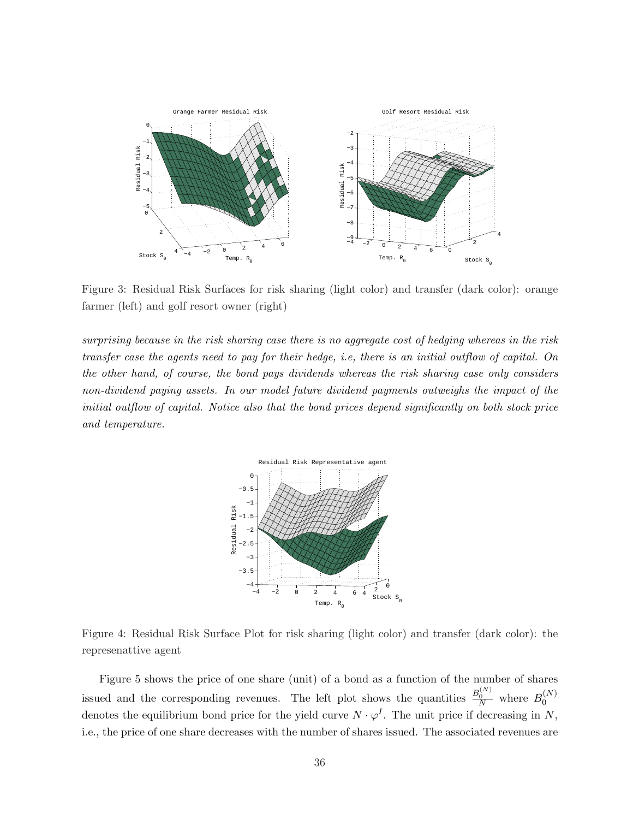

Figure 3: Residual Risk Surfaces for risk sharing (light color) and transfer (dark color): orange farmer (left) and golf resort owner (right)

surprising because in the risk sharing case there is no aggregate cost of hedging whereas in the risk transfer case the agents need to pay for their hedge, i.e, there is an initial outflow of capital. On the other hand, of course, the bond pays dividends whereas the risk sharing case only considers non-dividend paying assets. In our model future dividend payments outweighs the impact of the initial outflow of capital. Notice also that the bond prices depend significantly on both stock price and temperature.



Figure 4: Residual Risk Surface Plot for risk sharing (light color) and transfer (dark color): the represenattive agent

Figure 5 shows the price of one share (unit) of a bond as a function of the number of shares issued and the corresponding revenues. The left plot shows the quantities  $\frac{B_0^{(N)}}{N}$  where  $B_0^{(N)}$ 0 denotes the equilibrium bond price for the yield curve  $N \cdot \varphi^I$ . The unit price if decreasing in N, i.e., the price of one share decreases with the number of shares issued. The associated revenues are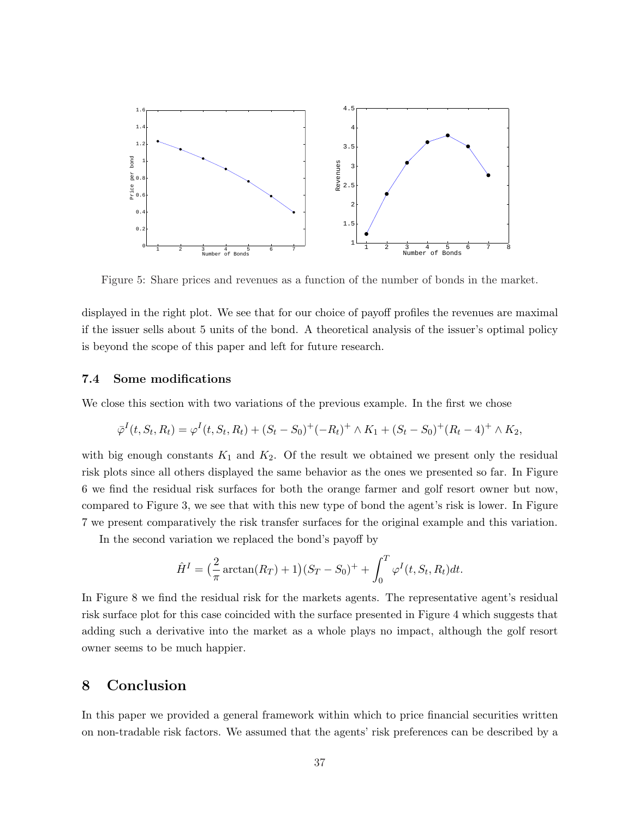

Figure 5: Share prices and revenues as a function of the number of bonds in the market.

displayed in the right plot. We see that for our choice of payoff profiles the revenues are maximal if the issuer sells about 5 units of the bond. A theoretical analysis of the issuer's optimal policy is beyond the scope of this paper and left for future research.

#### 7.4 Some modifications

We close this section with two variations of the previous example. In the first we chose

$$
\overline{\varphi}^{I}(t, S_{t}, R_{t}) = \varphi^{I}(t, S_{t}, R_{t}) + (S_{t} - S_{0})^{+}(-R_{t})^{+} \wedge K_{1} + (S_{t} - S_{0})^{+}(R_{t} - 4)^{+} \wedge K_{2},
$$

with big enough constants  $K_1$  and  $K_2$ . Of the result we obtained we present only the residual risk plots since all others displayed the same behavior as the ones we presented so far. In Figure 6 we find the residual risk surfaces for both the orange farmer and golf resort owner but now, compared to Figure 3, we see that with this new type of bond the agent's risk is lower. In Figure 7 we present comparatively the risk transfer surfaces for the original example and this variation.

In the second variation we replaced the bond's payoff by

$$
\hat{H}^{I} = \left(\frac{2}{\pi} \arctan(R_{T}) + 1\right)(S_{T} - S_{0})^{+} + \int_{0}^{T} \varphi^{I}(t, S_{t}, R_{t})dt.
$$

In Figure 8 we find the residual risk for the markets agents. The representative agent's residual risk surface plot for this case coincided with the surface presented in Figure 4 which suggests that adding such a derivative into the market as a whole plays no impact, although the golf resort owner seems to be much happier.

# 8 Conclusion

In this paper we provided a general framework within which to price financial securities written on non-tradable risk factors. We assumed that the agents' risk preferences can be described by a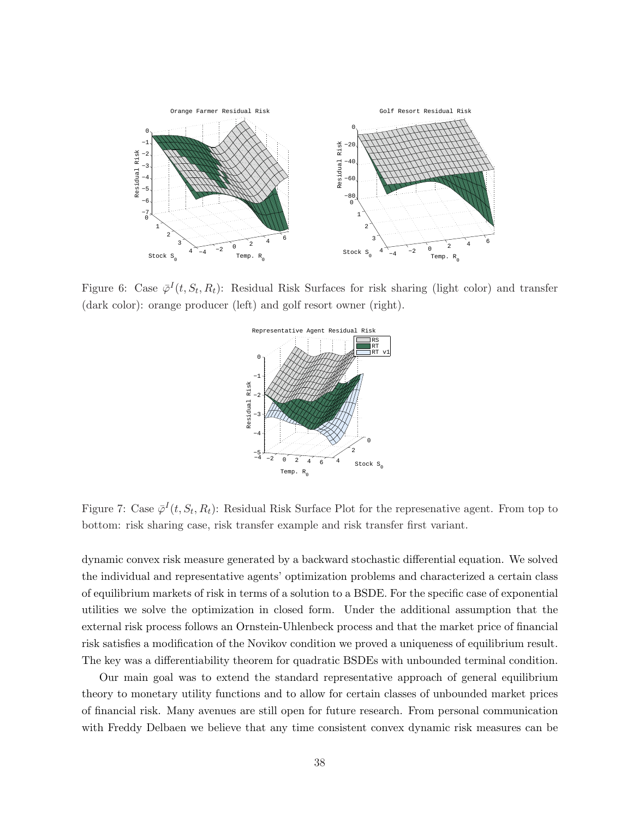

Figure 6: Case  $\bar{\varphi}^I(t, S_t, R_t)$ : Residual Risk Surfaces for risk sharing (light color) and transfer (dark color): orange producer (left) and golf resort owner (right).



Figure 7: Case  $\bar{\varphi}^I(t, S_t, R_t)$ : Residual Risk Surface Plot for the represenative agent. From top to bottom: risk sharing case, risk transfer example and risk transfer first variant.

dynamic convex risk measure generated by a backward stochastic differential equation. We solved the individual and representative agents' optimization problems and characterized a certain class of equilibrium markets of risk in terms of a solution to a BSDE. For the specific case of exponential utilities we solve the optimization in closed form. Under the additional assumption that the external risk process follows an Ornstein-Uhlenbeck process and that the market price of financial risk satisfies a modification of the Novikov condition we proved a uniqueness of equilibrium result. The key was a differentiability theorem for quadratic BSDEs with unbounded terminal condition.

Our main goal was to extend the standard representative approach of general equilibrium theory to monetary utility functions and to allow for certain classes of unbounded market prices of financial risk. Many avenues are still open for future research. From personal communication with Freddy Delbaen we believe that any time consistent convex dynamic risk measures can be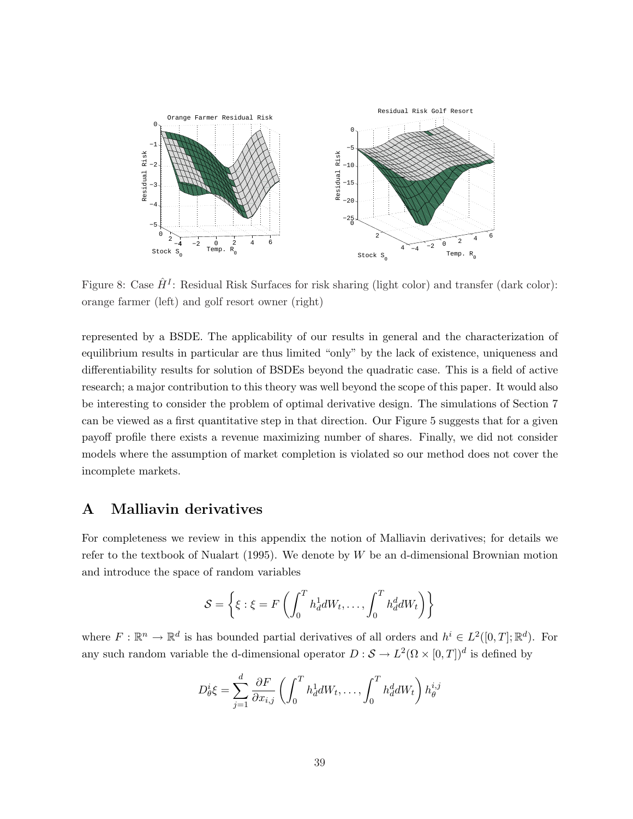

Figure 8: Case  $\hat{H}^{I}$ : Residual Risk Surfaces for risk sharing (light color) and transfer (dark color): orange farmer (left) and golf resort owner (right)

represented by a BSDE. The applicability of our results in general and the characterization of equilibrium results in particular are thus limited "only" by the lack of existence, uniqueness and differentiability results for solution of BSDEs beyond the quadratic case. This is a field of active research; a major contribution to this theory was well beyond the scope of this paper. It would also be interesting to consider the problem of optimal derivative design. The simulations of Section 7 can be viewed as a first quantitative step in that direction. Our Figure 5 suggests that for a given payoff profile there exists a revenue maximizing number of shares. Finally, we did not consider models where the assumption of market completion is violated so our method does not cover the incomplete markets.

# A Malliavin derivatives

For completeness we review in this appendix the notion of Malliavin derivatives; for details we refer to the textbook of Nualart (1995). We denote by  $W$  be an d-dimensional Brownian motion and introduce the space of random variables

$$
\mathcal{S} = \left\{ \xi : \xi = F\left(\int_0^T h_d^1 dW_t, \dots, \int_0^T h_d^d dW_t\right) \right\}
$$

where  $F: \mathbb{R}^n \to \mathbb{R}^d$  is has bounded partial derivatives of all orders and  $h^i \in L^2([0,T]; \mathbb{R}^d)$ . For any such random variable the d-dimensional operator  $D: \mathcal{S} \to L^2(\Omega \times [0,T])^d$  is defined by

$$
D^i_{\theta} \xi = \sum_{j=1}^d \frac{\partial F}{\partial x_{i,j}} \left( \int_0^T h^1_d dW_t, \dots, \int_0^T h^d_d dW_t \right) h^{i,j}_{\theta}
$$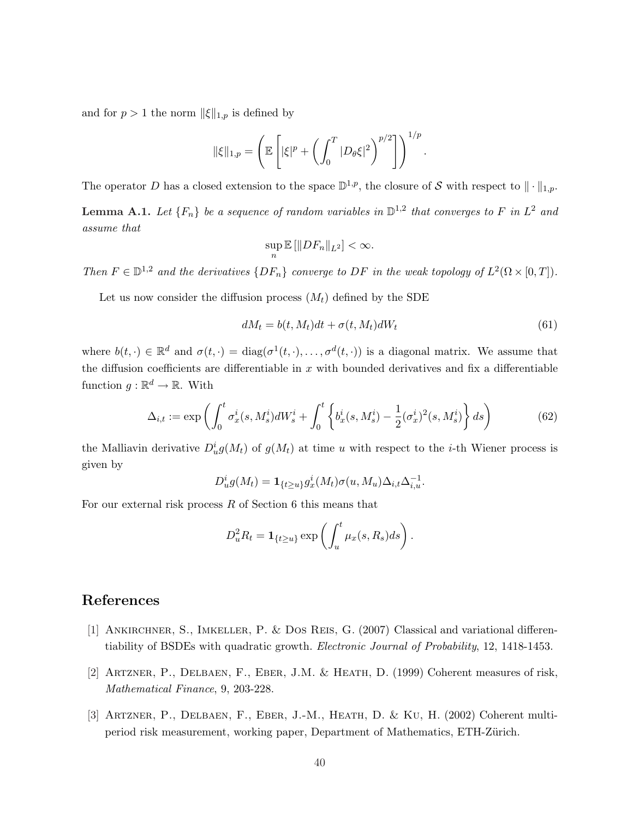and for  $p > 1$  the norm  $\|\xi\|_{1,p}$  is defined by

$$
\|\xi\|_{1,p} = \left(\mathbb{E}\left[|\xi|^p + \left(\int_0^T |D_\theta \xi|^2\right)^{p/2}\right]\right)^{1/p}.
$$

The operator D has a closed extension to the space  $\mathbb{D}^{1,p}$ , the closure of S with respect to  $\|\cdot\|_{1,p}$ .

**Lemma A.1.** Let  $\{F_n\}$  be a sequence of random variables in  $\mathbb{D}^{1,2}$  that converges to F in  $L^2$  and assume that

$$
\sup_n \mathbb{E} \left[ \|D F_n \|_{L^2} \right] < \infty.
$$

Then  $F \in \mathbb{D}^{1,2}$  and the derivatives  $\{DF_n\}$  converge to DF in the weak topology of  $L^2(\Omega \times [0,T])$ .

Let us now consider the diffusion process  $(M_t)$  defined by the SDE

$$
dM_t = b(t, M_t)dt + \sigma(t, M_t)dW_t
$$
\n(61)

where  $b(t, \cdot) \in \mathbb{R}^d$  and  $\sigma(t, \cdot) = \text{diag}(\sigma^1(t, \cdot), \dots, \sigma^d(t, \cdot))$  is a diagonal matrix. We assume that the diffusion coefficients are differentiable in  $x$  with bounded derivatives and fix a differentiable function  $g : \mathbb{R}^d \to \mathbb{R}$ . With

$$
\Delta_{i,t} := \exp\left(\int_0^t \sigma_x^i(s, M_s^i) dW_s^i + \int_0^t \left\{b_x^i(s, M_s^i) - \frac{1}{2}(\sigma_x^i)^2(s, M_s^i)\right\} ds\right) \tag{62}
$$

the Malliavin derivative  $D_u^ig(M_t)$  of  $g(M_t)$  at time u with respect to the i-th Wiener process is given by

$$
D_u^ig(M_t) = \mathbf{1}_{\{t \ge u\}} g_x^i(M_t) \sigma(u, M_u) \Delta_{i,t} \Delta_{i,u}^{-1}.
$$

For our external risk process  $R$  of Section 6 this means that

$$
D_u^2 R_t = \mathbf{1}_{\{t \ge u\}} \exp \left( \int_u^t \mu_x(s, R_s) ds \right).
$$

# References

- [1] Ankirchner, S., Imkeller, P. & Dos Reis, G. (2007) Classical and variational differentiability of BSDEs with quadratic growth. Electronic Journal of Probability, 12, 1418-1453.
- [2] Artzner, P., Delbaen, F., Eber, J.M. & Heath, D. (1999) Coherent measures of risk, Mathematical Finance, 9, 203-228.
- [3] Artzner, P., Delbaen, F., Eber, J.-M., Heath, D. & Ku, H. (2002) Coherent multiperiod risk measurement, working paper, Department of Mathematics, ETH-Zürich.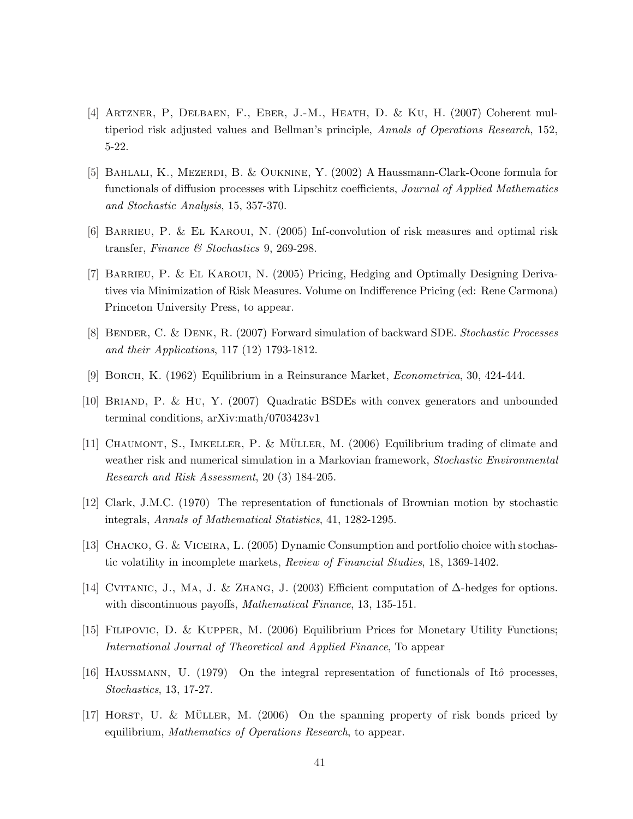- [4] Artzner, P, Delbaen, F., Eber, J.-M., Heath, D. & Ku, H. (2007) Coherent multiperiod risk adjusted values and Bellman's principle, Annals of Operations Research, 152, 5-22.
- [5] Bahlali, K., Mezerdi, B. & Ouknine, Y. (2002) A Haussmann-Clark-Ocone formula for functionals of diffusion processes with Lipschitz coefficients, Journal of Applied Mathematics and Stochastic Analysis, 15, 357-370.
- [6] Barrieu, P. & El Karoui, N. (2005) Inf-convolution of risk measures and optimal risk transfer, Finance & Stochastics 9, 269-298.
- [7] Barrieu, P. & El Karoui, N. (2005) Pricing, Hedging and Optimally Designing Derivatives via Minimization of Risk Measures. Volume on Indifference Pricing (ed: Rene Carmona) Princeton University Press, to appear.
- [8] BENDER, C. & DENK, R. (2007) Forward simulation of backward SDE. Stochastic Processes and their Applications, 117 (12) 1793-1812.
- [9] Borch, K. (1962) Equilibrium in a Reinsurance Market, Econometrica, 30, 424-444.
- [10] Briand, P. & Hu, Y. (2007) Quadratic BSDEs with convex generators and unbounded terminal conditions, arXiv:math/0703423v1
- [11] CHAUMONT, S., IMKELLER, P. & MÜLLER, M.  $(2006)$  Equilibrium trading of climate and weather risk and numerical simulation in a Markovian framework, Stochastic Environmental Research and Risk Assessment, 20 (3) 184-205.
- [12] Clark, J.M.C. (1970) The representation of functionals of Brownian motion by stochastic integrals, Annals of Mathematical Statistics, 41, 1282-1295.
- [13] CHACKO, G. & VICEIRA, L. (2005) Dynamic Consumption and portfolio choice with stochastic volatility in incomplete markets, Review of Financial Studies, 18, 1369-1402.
- [14] Cvitanic, J., Ma, J. & Zhang, J. (2003) Efficient computation of ∆-hedges for options. with discontinuous payoffs, *Mathematical Finance*, 13, 135-151.
- [15] Filipovic, D. & Kupper, M. (2006) Equilibrium Prices for Monetary Utility Functions; International Journal of Theoretical and Applied Finance, To appear
- [16] HAUSSMANN, U. (1979) On the integral representation of functionals of Itô processes. Stochastics, 13, 17-27.
- [17] HORST, U. & MÜLLER, M.  $(2006)$  On the spanning property of risk bonds priced by equilibrium, Mathematics of Operations Research, to appear.